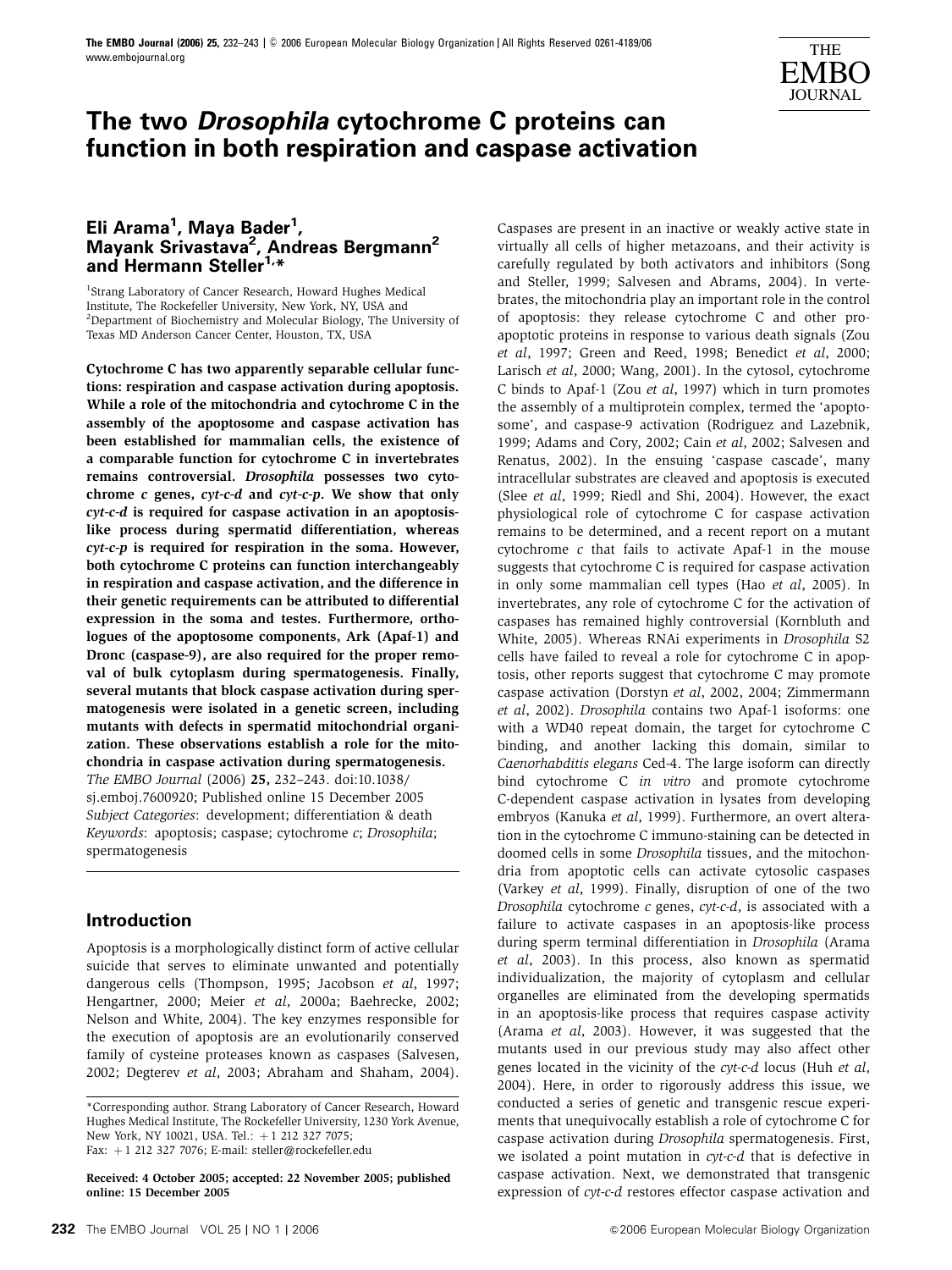

# **The two Drosophila cytochrome C proteins can function in both respiration and caspase activation**

# **Eli Arama1 , Maya Bader1 , Mayank Srivastava2 , Andreas Bergmann2** and Hermann Steller<sup>1,\*</sup>

<sup>1</sup>Strang Laboratory of Cancer Research, Howard Hughes Medical Institute, The Rockefeller University, New York, NY, USA and <sup>2</sup>Department of Biochemistry and Molecular Biology, The University of Texas MD Anderson Cancer Center, Houston, TX, USA

Cytochrome C has two apparently separable cellular functions: respiration and caspase activation during apoptosis. While a role of the mitochondria and cytochrome C in the assembly of the apoptosome and caspase activation has been established for mammalian cells, the existence of a comparable function for cytochrome C in invertebrates remains controversial. Drosophila possesses two cytochrome c genes, cyt-c-d and cyt-c-p. We show that only cyt-c-d is required for caspase activation in an apoptosislike process during spermatid differentiation, whereas cyt-c-p is required for respiration in the soma. However, both cytochrome C proteins can function interchangeably in respiration and caspase activation, and the difference in their genetic requirements can be attributed to differential expression in the soma and testes. Furthermore, orthologues of the apoptosome components, Ark (Apaf-1) and Dronc (caspase-9), are also required for the proper removal of bulk cytoplasm during spermatogenesis. Finally, several mutants that block caspase activation during spermatogenesis were isolated in a genetic screen, including mutants with defects in spermatid mitochondrial organization. These observations establish a role for the mitochondria in caspase activation during spermatogenesis. The EMBO Journal (2006) 25, 232–243. doi:10.1038/ sj.emboj.7600920; Published online 15 December 2005 Subject Categories: development; differentiation & death Keywords: apoptosis; caspase; cytochrome c; Drosophila; spermatogenesis

# **Introduction**

Apoptosis is a morphologically distinct form of active cellular suicide that serves to eliminate unwanted and potentially dangerous cells (Thompson, 1995; Jacobson et al, 1997; Hengartner, 2000; Meier et al, 2000a; Baehrecke, 2002; Nelson and White, 2004). The key enzymes responsible for the execution of apoptosis are an evolutionarily conserved family of cysteine proteases known as caspases (Salvesen, 2002; Degterev et al, 2003; Abraham and Shaham, 2004).

Received: 4 October 2005; accepted: 22 November 2005; published online: 15 December 2005

Caspases are present in an inactive or weakly active state in virtually all cells of higher metazoans, and their activity is carefully regulated by both activators and inhibitors (Song and Steller, 1999; Salvesen and Abrams, 2004). In vertebrates, the mitochondria play an important role in the control of apoptosis: they release cytochrome C and other proapoptotic proteins in response to various death signals (Zou et al, 1997; Green and Reed, 1998; Benedict et al, 2000; Larisch et al, 2000; Wang, 2001). In the cytosol, cytochrome C binds to Apaf-1 (Zou et al, 1997) which in turn promotes the assembly of a multiprotein complex, termed the 'apoptosome', and caspase-9 activation (Rodriguez and Lazebnik, 1999; Adams and Cory, 2002; Cain et al, 2002; Salvesen and Renatus, 2002). In the ensuing 'caspase cascade', many intracellular substrates are cleaved and apoptosis is executed (Slee et al, 1999; Riedl and Shi, 2004). However, the exact physiological role of cytochrome C for caspase activation remains to be determined, and a recent report on a mutant cytochrome c that fails to activate Apaf-1 in the mouse suggests that cytochrome C is required for caspase activation in only some mammalian cell types (Hao et al, 2005). In invertebrates, any role of cytochrome C for the activation of caspases has remained highly controversial (Kornbluth and White, 2005). Whereas RNAi experiments in Drosophila S2 cells have failed to reveal a role for cytochrome C in apoptosis, other reports suggest that cytochrome C may promote caspase activation (Dorstyn et al, 2002, 2004; Zimmermann et al, 2002). Drosophila contains two Apaf-1 isoforms: one with a WD40 repeat domain, the target for cytochrome C binding, and another lacking this domain, similar to Caenorhabditis elegans Ced-4. The large isoform can directly bind cytochrome C in vitro and promote cytochrome C-dependent caspase activation in lysates from developing embryos (Kanuka et al, 1999). Furthermore, an overt alteration in the cytochrome C immuno-staining can be detected in doomed cells in some Drosophila tissues, and the mitochondria from apoptotic cells can activate cytosolic caspases (Varkey et al, 1999). Finally, disruption of one of the two Drosophila cytochrome c genes, cyt-c-d, is associated with a failure to activate caspases in an apoptosis-like process during sperm terminal differentiation in Drosophila (Arama et al, 2003). In this process, also known as spermatid individualization, the majority of cytoplasm and cellular organelles are eliminated from the developing spermatids in an apoptosis-like process that requires caspase activity (Arama et al, 2003). However, it was suggested that the mutants used in our previous study may also affect other genes located in the vicinity of the cyt-c-d locus (Huh et al, 2004). Here, in order to rigorously address this issue, we conducted a series of genetic and transgenic rescue experiments that unequivocally establish a role of cytochrome C for caspase activation during Drosophila spermatogenesis. First, we isolated a point mutation in cyt-c-d that is defective in caspase activation. Next, we demonstrated that transgenic expression of cyt-c-d restores effector caspase activation and

<sup>\*</sup>Corresponding author. Strang Laboratory of Cancer Research, Howard Hughes Medical Institute, The Rockefeller University, 1230 York Avenue, New York, NY 10021, USA. Tel.: +1 212 327 7075; Fax:  $+1$  212 327 7076; E-mail: steller@rockefeller.edu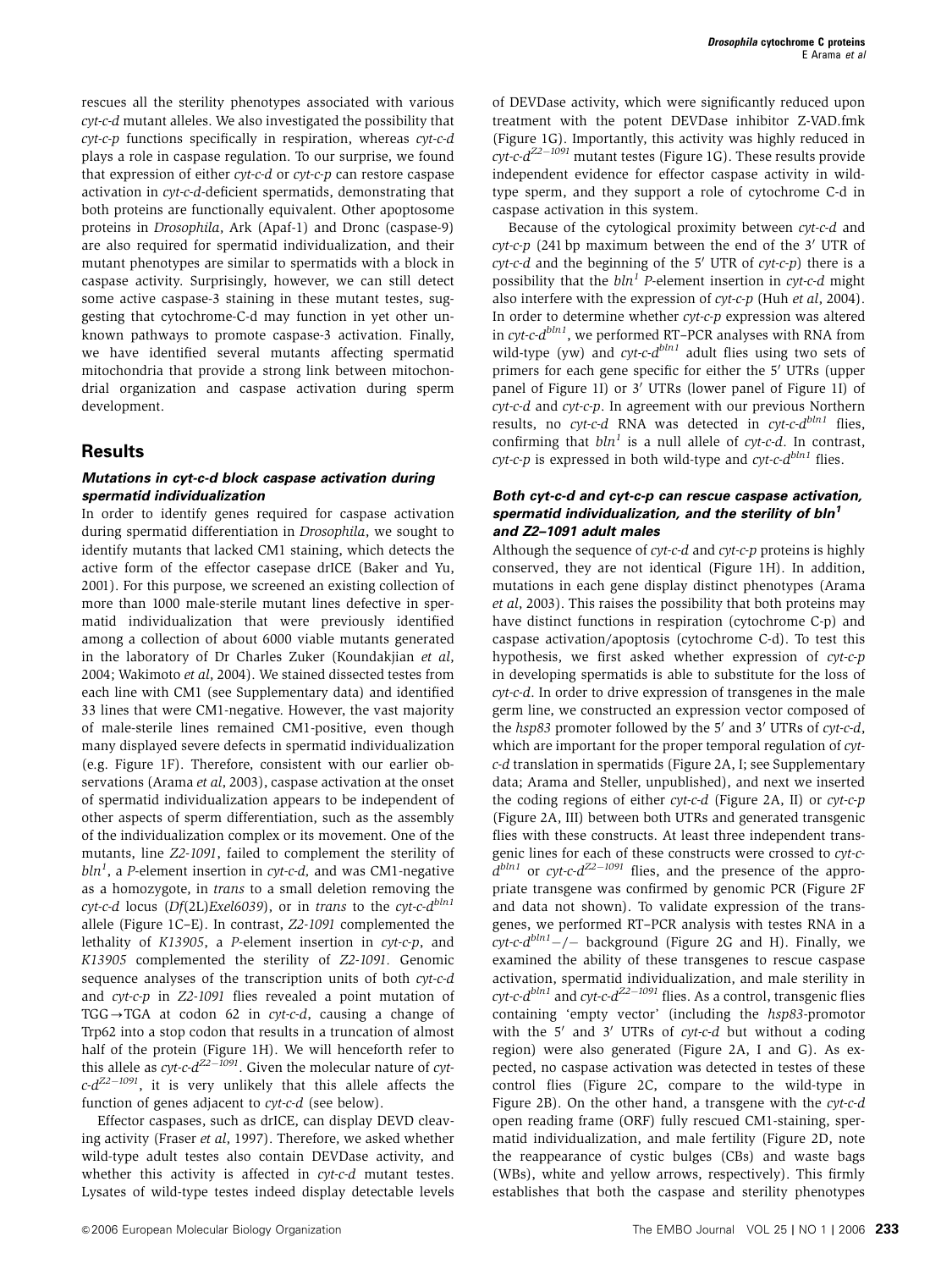rescues all the sterility phenotypes associated with various cyt-c-d mutant alleles. We also investigated the possibility that  $\alpha$ cyt-c-p functions specifically in respiration, whereas  $\alpha$ vt-c-d plays a role in caspase regulation. To our surprise, we found that expression of either cyt-c-d or cyt-c-p can restore caspase activation in cyt-c-d-deficient spermatids, demonstrating that both proteins are functionally equivalent. Other apoptosome proteins in Drosophila, Ark (Apaf-1) and Dronc (caspase-9) are also required for spermatid individualization, and their mutant phenotypes are similar to spermatids with a block in caspase activity. Surprisingly, however, we can still detect some active caspase-3 staining in these mutant testes, suggesting that cytochrome-C-d may function in yet other unknown pathways to promote caspase-3 activation. Finally, we have identified several mutants affecting spermatid mitochondria that provide a strong link between mitochondrial organization and caspase activation during sperm development.

### **Results**

### **Mutations in cyt-c-d block caspase activation during spermatid individualization**

In order to identify genes required for caspase activation during spermatid differentiation in Drosophila, we sought to identify mutants that lacked CM1 staining, which detects the active form of the effector casepase drICE (Baker and Yu, 2001). For this purpose, we screened an existing collection of more than 1000 male-sterile mutant lines defective in spermatid individualization that were previously identified among a collection of about 6000 viable mutants generated in the laboratory of Dr Charles Zuker (Koundakjian et al, 2004; Wakimoto et al, 2004). We stained dissected testes from each line with CM1 (see Supplementary data) and identified 33 lines that were CM1-negative. However, the vast majority of male-sterile lines remained CM1-positive, even though many displayed severe defects in spermatid individualization (e.g. Figure 1F). Therefore, consistent with our earlier observations (Arama et al, 2003), caspase activation at the onset of spermatid individualization appears to be independent of other aspects of sperm differentiation, such as the assembly of the individualization complex or its movement. One of the mutants, line Z2-1091, failed to complement the sterility of  $bln^1$ , a P-element insertion in  $\mathit{cyt-c-d}$ , and was CM1-negative as a homozygote, in trans to a small deletion removing the cyt-c-d locus (Df(2L)Exel6039), or in trans to the cyt-c- $d^{bln1}$ allele (Figure 1C–E). In contrast, Z2-1091 complemented the lethality of K13905, a P-element insertion in cyt-c-p, and K13905 complemented the sterility of Z2-1091. Genomic sequence analyses of the transcription units of both cyt-c-d and cyt-c-p in Z2-1091 flies revealed a point mutation of  $TGG \rightarrow TGA$  at codon 62 in cyt-c-d, causing a change of Trp62 into a stop codon that results in a truncation of almost half of the protein (Figure 1H). We will henceforth refer to this allele as  $cyt$ - $c$ - $d^{Z2-1091}$ . Given the molecular nature of  $cyt$  $c$ - $d^{Z2-1091}$ , it is very unlikely that this allele affects the function of genes adjacent to cyt-c-d (see below).

Effector caspases, such as drICE, can display DEVD cleaving activity (Fraser et al, 1997). Therefore, we asked whether wild-type adult testes also contain DEVDase activity, and whether this activity is affected in cyt-c-d mutant testes. Lysates of wild-type testes indeed display detectable levels of DEVDase activity, which were significantly reduced upon treatment with the potent DEVDase inhibitor Z-VAD.fmk (Figure 1G). Importantly, this activity was highly reduced in  $\mathit{cyt-c-d}^\mathit{ZZ-1091}$  mutant testes (Figure 1G). These results provide independent evidence for effector caspase activity in wildtype sperm, and they support a role of cytochrome C-d in caspase activation in this system.

Because of the cytological proximity between cyt-c-d and  $\gamma$ cyt-c-p (241 bp maximum between the end of the 3' UTR of  $\gamma$ *cyt-c-d* and the beginning of the 5<sup>'</sup> UTR of  $\gamma$ *t-c-p*) there is a possibility that the  $bln^1$  P-element insertion in cyt-c-d might also interfere with the expression of cyt-c-p (Huh et al, 2004). In order to determine whether cyt-c-p expression was altered in  $\alpha v t$ -c- $d^{bln1}$ , we performed RT–PCR analyses with RNA from wild-type (yw) and  $cyt$ -c- $d^{bln1}$  adult flies using two sets of primers for each gene specific for either the 5' UTRs (upper panel of Figure 1I) or 3' UTRs (lower panel of Figure 1I) of cyt-c-d and cyt-c-p. In agreement with our previous Northern results, no cyt-c-d RNA was detected in cyt-c- $d^{bln1}$  flies, confirming that  $bln^1$  is a null allele of cyt-c-d. In contrast,  $\alpha$ cyt-c-p is expressed in both wild-type and  $\alpha$ yt-c- $d^{bln1}$  flies.

### **Both cyt-c-d and cyt-c-p can rescue caspase activation, spermatid individualization, and the sterility of bln<sup>1</sup> and Z2–1091 adult males**

Although the sequence of cyt-c-d and cyt-c-p proteins is highly conserved, they are not identical (Figure 1H). In addition, mutations in each gene display distinct phenotypes (Arama et al, 2003). This raises the possibility that both proteins may have distinct functions in respiration (cytochrome C-p) and caspase activation/apoptosis (cytochrome C-d). To test this hypothesis, we first asked whether expression of cyt-c-p in developing spermatids is able to substitute for the loss of cyt-c-d. In order to drive expression of transgenes in the male germ line, we constructed an expression vector composed of the  $hsp83$  promoter followed by the 5' and 3' UTRs of cyt-c-d, which are important for the proper temporal regulation of cytc-d translation in spermatids (Figure 2A, I; see Supplementary data; Arama and Steller, unpublished), and next we inserted the coding regions of either cyt-c-d (Figure 2A, II) or cyt-c-p (Figure 2A, III) between both UTRs and generated transgenic flies with these constructs. At least three independent transgenic lines for each of these constructs were crossed to cyt-c $d^{bln1}$  or cyt-c- $d^{Z2-1091}$  flies, and the presence of the appropriate transgene was confirmed by genomic PCR (Figure 2F and data not shown). To validate expression of the transgenes, we performed RT–PCR analysis with testes RNA in a  $\frac{cyl-c-d^{bln1}-}{-}$  background (Figure 2G and H). Finally, we examined the ability of these transgenes to rescue caspase activation, spermatid individualization, and male sterility in *cyt-c-d<sup>bln1</sup>* and *cyt-c-d<sup>Z2–1091</sup>* flies. As a control, transgenic flies containing 'empty vector' (including the hsp83-promotor with the  $5'$  and  $3'$  UTRs of cyt-c-d but without a coding region) were also generated (Figure 2A, I and G). As expected, no caspase activation was detected in testes of these control flies (Figure 2C, compare to the wild-type in Figure 2B). On the other hand, a transgene with the cyt-c-d open reading frame (ORF) fully rescued CM1-staining, spermatid individualization, and male fertility (Figure 2D, note the reappearance of cystic bulges (CBs) and waste bags (WBs), white and yellow arrows, respectively). This firmly establishes that both the caspase and sterility phenotypes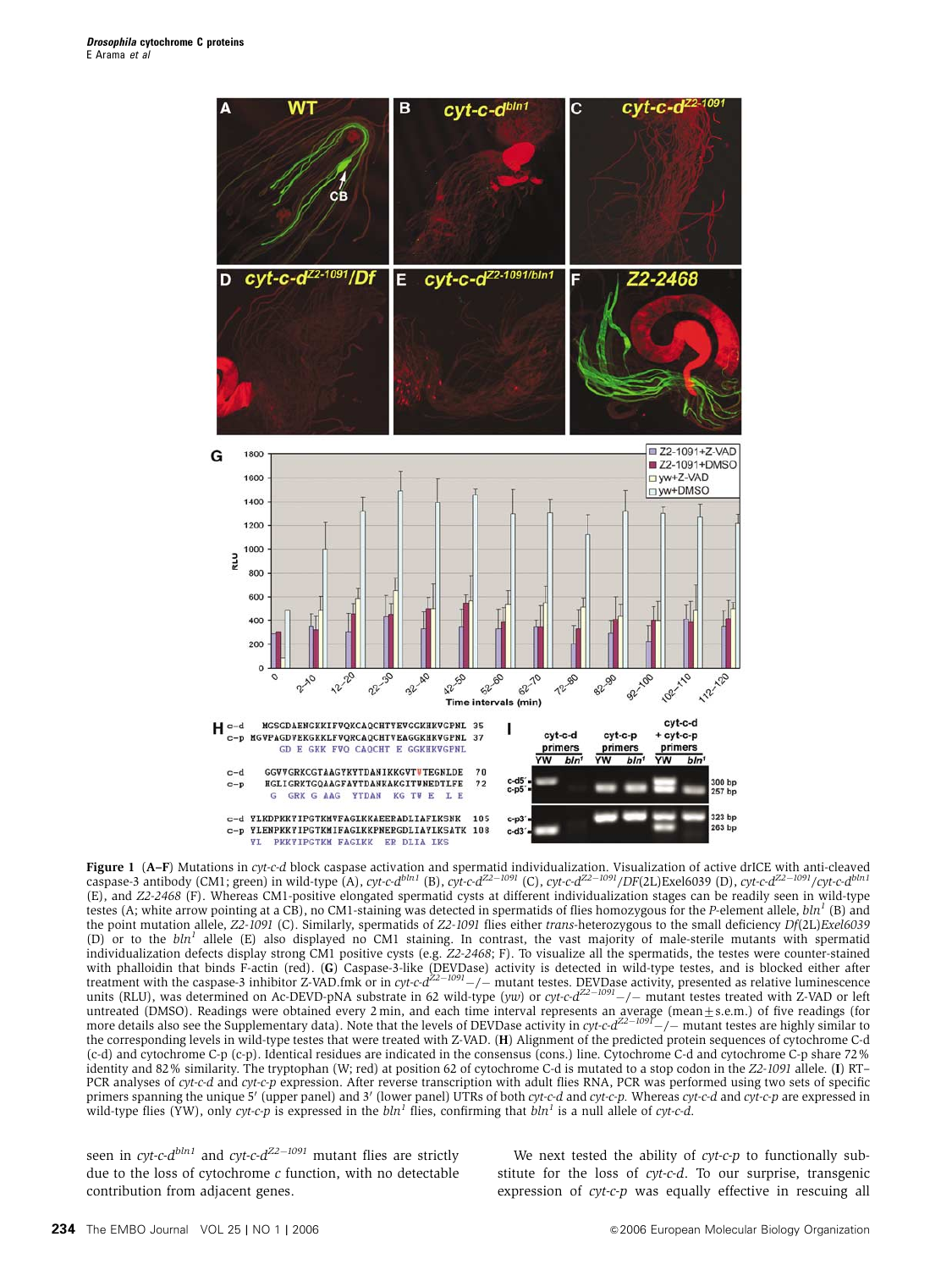

**Figure 1** (**A–F**) Mutations in cyt-c-d block caspase activation and spermatid individualization. Visualization of active drICE with anti-cleaved<br>caspase-3 antibody (CM1; green) in wild-type (A), cyt-c-d<sup>bin1</sup> (B), cyt-c-d (E), and Z2-2468 (F). Whereas CM1-positive elongated spermatid cysts at different individualization stages can be readily seen in wild-type testes (A; white arrow pointing at a CB), no CM1-staining was detected in spermatids of flies homozygous for the P-element allele,  $\mathit{bln}^1$  (B) and the point mutation allele, Z2-1091 (C). Similarly, spermatids of Z2-1091 flies either trans-heterozygous to the small deficiency Df(2L)Exel6039 (D) or to the  $bln<sup>1</sup>$  allele (E) also displayed no CM1 staining. In contrast, the vast majority of male-sterile mutants with spermatid individualization defects display strong CM1 positive cysts (e.g. Z2-2468; F). To visualize all the spermatids, the testes were counter-stained with phalloidin that binds F-actin (red). (**G**) Caspase-3-like (DEVDase) activity is detected in wild-type testes, and is blocked either after<br>treatment with the caspase-3 inhibitor Z-VAD.fmk or in cyt-c-d<sup>22–1091</sup>—/— muta untreated (DMSO). Readings were obtained every 2 min, and each time interval represents an average (mean±s.e.m.) of five readings (for<br>more details also see the Supplementary data). Note that the levels of DEVDase activity the corresponding levels in wild-type testes that were treated with Z-VAD. (H) Alignment of the predicted protein sequences of cytochrome C-d (c-d) and cytochrome C-p (c-p). Identical residues are indicated in the consensus (cons.) line. Cytochrome C-d and cytochrome C-p share 72% identity and 82% similarity. The tryptophan (W; red) at position 62 of cytochrome C-d is mutated to a stop codon in the Z2-1091 allele. (I) RT– PCR analyses of cyt-c-d and cyt-c-p expression. After reverse transcription with adult flies RNA, PCR was performed using two sets of specific primers spanning the unique 5' (upper panel) and 3' (lower panel) UTRs of both cyt-c-d and cyt-c-p. Whereas cyt-c-d and cyt-c-p are expressed in wild-type flies (YW), only cyt-c-p is expressed in the  $bh<sup>1</sup>$  flies, confirming that  $bh<sup>1</sup>$  is a null allele of cyt-c-d.

seen in cyt-c- $d^{bln1}$  and cyt-c- $d^{Z2-1091}$  mutant flies are strictly due to the loss of cytochrome  $c$  function, with no detectable contribution from adjacent genes.

We next tested the ability of  $cyt-c-p$  to functionally substitute for the loss of cyt-c-d. To our surprise, transgenic expression of *cyt-c-p* was equally effective in rescuing all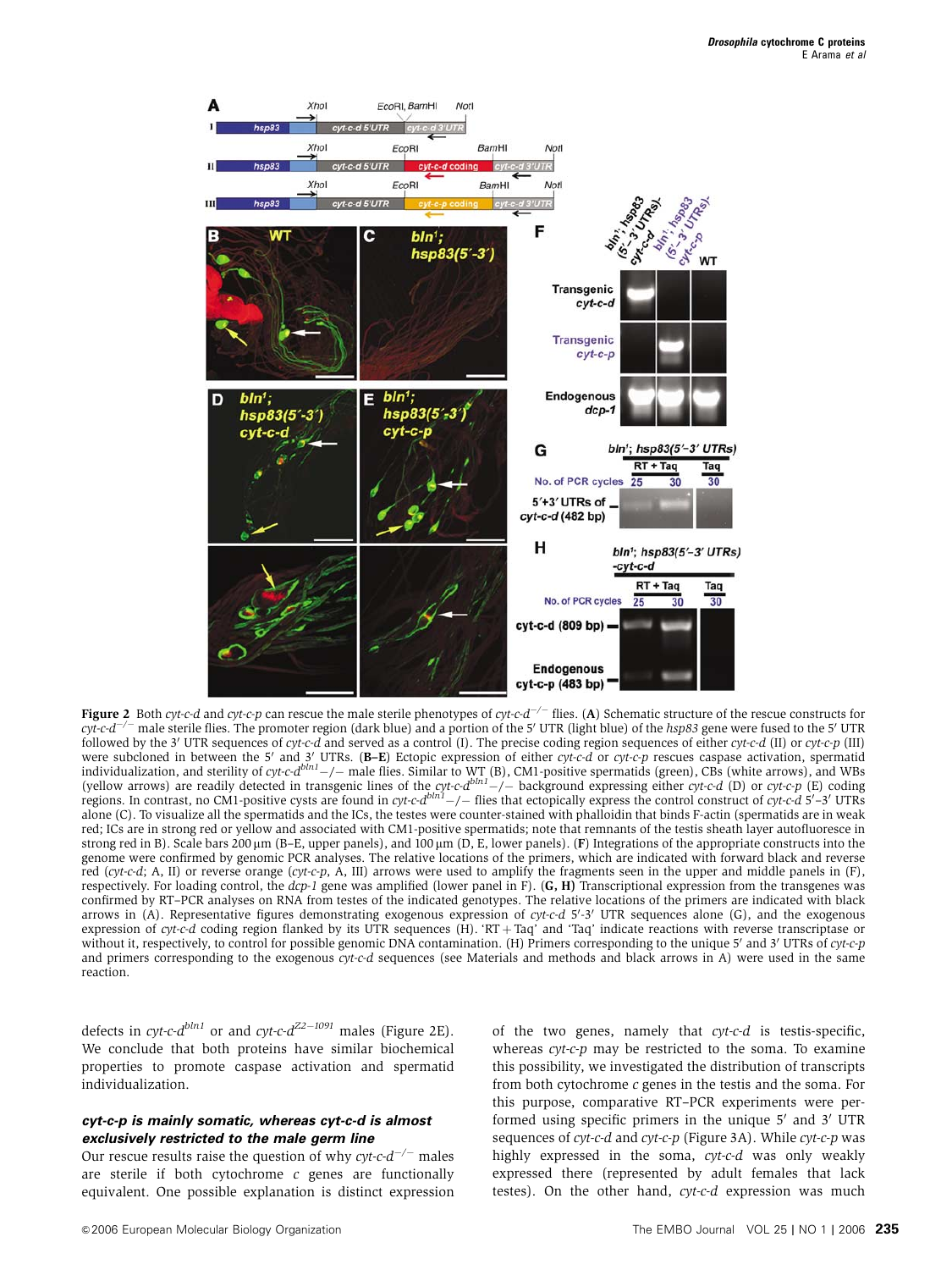

Figure 2 Both cyt-c-d and cyt-c-p can rescue the male sterile phenotypes of cyt-c-d<sup>-/-</sup> flies. (A) Schematic structure of the rescue constructs for  $cyl$ - $c$ -d<sup>-/-</sup> male sterile flies. The promoter region (dark blue) and a portion of the 5' UTR (light blue) of the  $hsp83$  gene were fused to the 5' UTR followed by the 3' UTR sequences of cyt-c-d and served as a control (I). The precise coding region sequences of either cyt-c-d (II) or cyt-c-p (III) were subcloned in between the 5' and 3' UTRs. (B-E) Ectopic expression of either cyt-c-d or cyt-c-p rescues caspase activation, spermatid individualization, and sterility of cyt-c-d<sup>bln1</sup> -/- male flies. Similar to WT (B), CM1-positive spermatids (green), CBs (white arrows), and WBs (yellow arrows) are readily detected in transgenic lines of the cyt-c-d<sup>bln</sup> alone (C). To visualize all the spermatids and the ICs, the testes were counter-stained with phalloidin that binds F-actin (spermatids are in weak red; ICs are in strong red or yellow and associated with CM1-positive spermatids; note that remnants of the testis sheath layer autofluoresce in strong red in B). Scale bars 200  $\mu$ m (B–E, upper panels), and 100  $\mu$ m (D, E, lower panels). (F) Integrations of the appropriate constructs into the genome were confirmed by genomic PCR analyses. The relative locations of the primers, which are indicated with forward black and reverse red (cyt-c-d; A, II) or reverse orange (cyt-c-p, A, III) arrows were used to amplify the fragments seen in the upper and middle panels in  $(F)$ , respectively. For loading control, the dcp-1 gene was amplified (lower panel in F). (G, H) Transcriptional expression from the transgenes was confirmed by RT–PCR analyses on RNA from testes of the indicated genotypes. The relative locations of the primers are indicated with black arrows in (A). Representative figures demonstrating exogenous expression of cyt-c-d 5'-3' UTR sequences alone (G), and the exogenous expression of cyt-c-d coding region flanked by its UTR sequences (H). 'RT + Taq' and 'Taq' indicate reactions with reverse transcriptase or without it, respectively, to control for possible genomic DNA contamination. (H) Primers corresponding to the unique 5' and 3' UTRs of cyt-c-p and primers corresponding to the exogenous cyt-c-d sequences (see Materials and methods and black arrows in A) were used in the same reaction.

defects in cyt-c- $d^{bln1}$  or and cyt-c- $d^{Z2-1091}$  males (Figure 2E). We conclude that both proteins have similar biochemical properties to promote caspase activation and spermatid individualization.

#### **cyt-c-p is mainly somatic, whereas cyt-c-d is almost exclusively restricted to the male germ line**

Our rescue results raise the question of why  $cyt$ - $c$ - $d^{-/-}$  males are sterile if both cytochrome  $c$  genes are functionally equivalent. One possible explanation is distinct expression of the two genes, namely that cyt-c-d is testis-specific, whereas *cyt-c-p* may be restricted to the soma. To examine this possibility, we investigated the distribution of transcripts from both cytochrome c genes in the testis and the soma. For this purpose, comparative RT–PCR experiments were performed using specific primers in the unique  $5'$  and  $3'$  UTR sequences of *cyt-c-d* and *cyt-c-p* (Figure 3A). While *cyt-c-p* was highly expressed in the soma, cyt-c-d was only weakly expressed there (represented by adult females that lack testes). On the other hand, cyt-c-d expression was much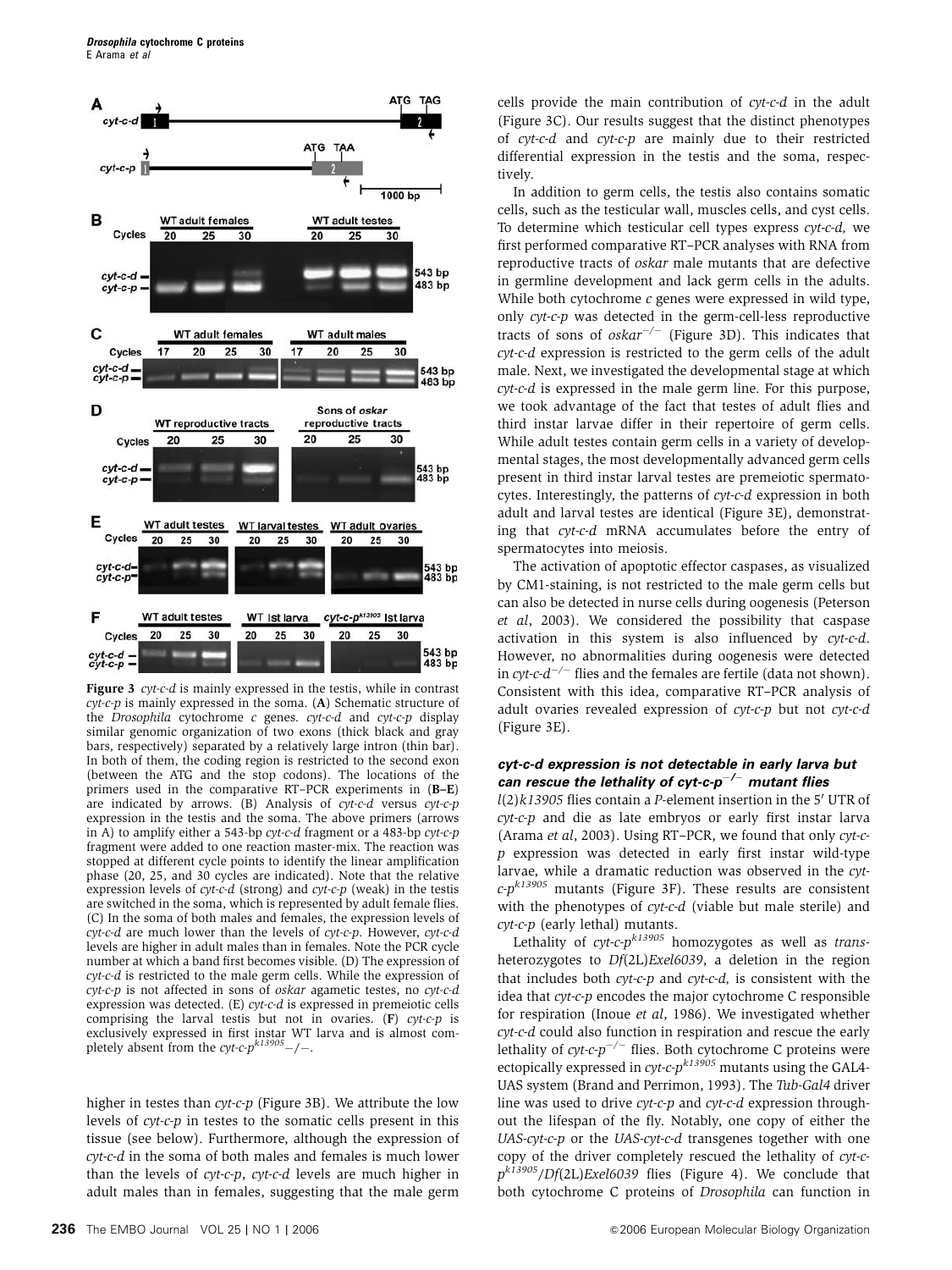

Figure 3 *cyt-c-d* is mainly expressed in the testis, while in contrast cyt-c-p is mainly expressed in the soma. (A) Schematic structure of the Drosophila cytochrome c genes. cyt-c-d and cyt-c-p display similar genomic organization of two exons (thick black and gray bars, respectively) separated by a relatively large intron (thin bar). In both of them, the coding region is restricted to the second exon (between the ATG and the stop codons). The locations of the primers used in the comparative RT–PCR experiments in (B–E) are indicated by arrows. (B) Analysis of cyt-c-d versus cyt-c-p expression in the testis and the soma. The above primers (arrows in A) to amplify either a 543-bp cyt-c-d fragment or a 483-bp cyt-c-p fragment were added to one reaction master-mix. The reaction was stopped at different cycle points to identify the linear amplification phase (20, 25, and 30 cycles are indicated). Note that the relative expression levels of cyt-c-d (strong) and cyt-c-p (weak) in the testis are switched in the soma, which is represented by adult female flies. (C) In the soma of both males and females, the expression levels of  $cvt-c-d$  are much lower than the levels of  $cvtc-r$ . However,  $cvtc-c-d$ levels are higher in adult males than in females. Note the PCR cycle number at which a band first becomes visible. (D) The expression of cyt-c-d is restricted to the male germ cells. While the expression of cyt-c-p is not affected in sons of oskar agametic testes, no cyt-c-d expression was detected. (E) cyt-c-d is expressed in premeiotic cells comprising the larval testis but not in ovaries.  $(F)$  cyt-c-p is exclusively expressed in first instar WT larva and is almost completely absent from the  $cyt\text{-}c\text{-}pl$ <sup>k13905</sup>-/-.

higher in testes than *cyt-c-p* (Figure 3B). We attribute the low levels of cyt-c-p in testes to the somatic cells present in this tissue (see below). Furthermore, although the expression of cyt-c-d in the soma of both males and females is much lower than the levels of cyt-c-p, cyt-c-d levels are much higher in adult males than in females, suggesting that the male germ

cells provide the main contribution of cyt-c-d in the adult (Figure 3C). Our results suggest that the distinct phenotypes of cyt-c-d and cyt-c-p are mainly due to their restricted differential expression in the testis and the soma, respectively.

In addition to germ cells, the testis also contains somatic cells, such as the testicular wall, muscles cells, and cyst cells. To determine which testicular cell types express cyt-c-d, we first performed comparative RT–PCR analyses with RNA from reproductive tracts of oskar male mutants that are defective in germline development and lack germ cells in the adults. While both cytochrome c genes were expressed in wild type, only cyt-c-p was detected in the germ-cell-less reproductive tracts of sons of  $oskar^{-/-}$  (Figure 3D). This indicates that cyt-c-d expression is restricted to the germ cells of the adult male. Next, we investigated the developmental stage at which cyt-c-d is expressed in the male germ line. For this purpose, we took advantage of the fact that testes of adult flies and third instar larvae differ in their repertoire of germ cells. While adult testes contain germ cells in a variety of developmental stages, the most developmentally advanced germ cells present in third instar larval testes are premeiotic spermatocytes. Interestingly, the patterns of cyt-c-d expression in both adult and larval testes are identical (Figure 3E), demonstrating that cyt-c-d mRNA accumulates before the entry of spermatocytes into meiosis.

The activation of apoptotic effector caspases, as visualized by CM1-staining, is not restricted to the male germ cells but can also be detected in nurse cells during oogenesis (Peterson et al, 2003). We considered the possibility that caspase activation in this system is also influenced by cyt-c-d. However, no abnormalities during oogenesis were detected in cyt-c- $d^{-/-}$  flies and the females are fertile (data not shown). Consistent with this idea, comparative RT–PCR analysis of adult ovaries revealed expression of cyt-c-p but not cyt-c-d (Figure 3E).

### **cyt-c-d expression is not detectable in early larva but can rescue the lethality of cyt-c-p**-**/**- **mutant flies**

 $l(2)k13905$  flies contain a P-element insertion in the 5' UTR of cyt-c-p and die as late embryos or early first instar larva (Arama et al, 2003). Using RT–PCR, we found that only cyt-cp expression was detected in early first instar wild-type larvae, while a dramatic reduction was observed in the cyt $c-p^{k13905}$  mutants (Figure 3F). These results are consistent with the phenotypes of cyt-c-d (viable but male sterile) and cyt-c-p (early lethal) mutants.

Lethality of cyt-c- $p^{k13905}$  homozygotes as well as transheterozygotes to Df(2L)Exel6039, a deletion in the region that includes both  $cyt-c-p$  and  $cyt-c-d$ , is consistent with the idea that cyt-c-p encodes the major cytochrome C responsible for respiration (Inoue et al, 1986). We investigated whether cyt-c-d could also function in respiration and rescue the early lethality of  $cyt$ -c- $p^{-/-}$  flies. Both cytochrome C proteins were ectopically expressed in  $cyt$ -c- $p^{k13905}$  mutants using the GAL4-UAS system (Brand and Perrimon, 1993). The Tub-Gal4 driver line was used to drive cyt-c-p and cyt-c-d expression throughout the lifespan of the fly. Notably, one copy of either the UAS-cvt-c-p or the UAS-cyt-c-d transgenes together with one copy of the driver completely rescued the lethality of cyt-c $p^{k13905}/Df(2L)Exel6039$  flies (Figure 4). We conclude that both cytochrome C proteins of Drosophila can function in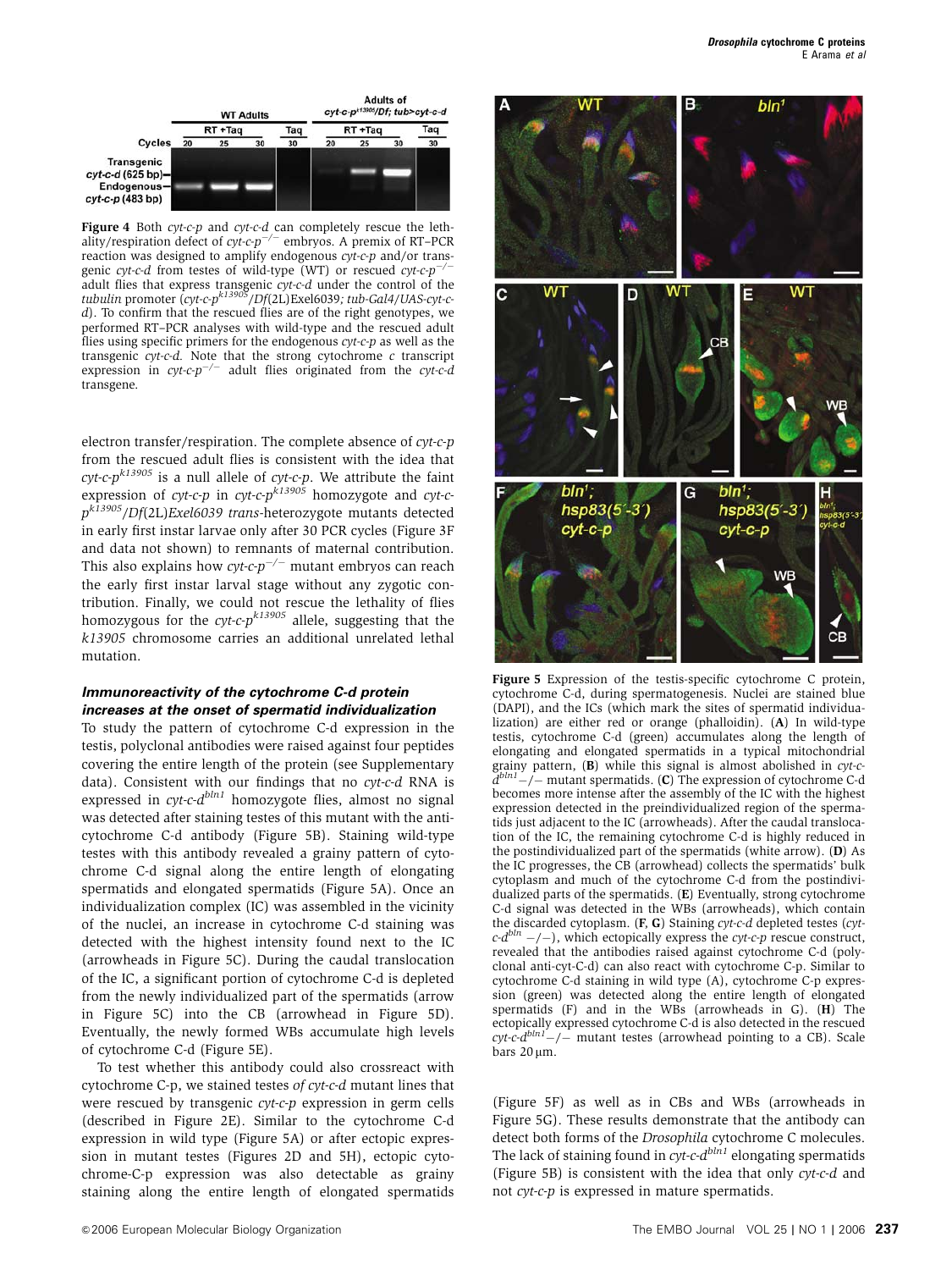

Figure 4 Both cyt-c-p and cyt-c-d can completely rescue the lethality/respiration defect of  $cyt$ -c- $p^{-/-}$  embryos. A premix of RT-PCR reaction was designed to amplify endogenous *cyt-c-p* and/or trans-<br>genie gyt c d from tostes of wild type  $(WT)$  or rescued gyt en<sup>-/-</sup> genic cyt-c-d from testes of wild-type (WT) or rescued  $cyt$ -c-p<sup>-</sup> adult flies that express transgenic *cyt-c-d* under the control of the<br>tubulin promoter (*cyt-c-p<sup>k13905</sup>*/Df(2L)Exel6039; tub-Gal4/UAS-cyt-cd). To confirm that the rescued flies are of the right genotypes, we performed RT–PCR analyses with wild-type and the rescued adult flies using specific primers for the endogenous cyt-c-p as well as the transgenic *cyt-c-d*. Note that the strong cytochrome *c* transcript expression in *cyt-c-p<sup>-/-</sup>* adult flies originated from the *cyt-c-d* transgene.

electron transfer/respiration. The complete absence of cyt-c-p from the rescued adult flies is consistent with the idea that  $\mathit{cvt-c-p}^{k13905}$  is a null allele of  $\mathit{cyt-c-p}$ . We attribute the faint expression of cyt-c-p in cyt-c- $p^{k13905}$  homozygote and cyt-c $p^{k13905}/Df(2L)$ Exel6039 trans-heterozygote mutants detected in early first instar larvae only after 30 PCR cycles (Figure 3F and data not shown) to remnants of maternal contribution. This also explains how  $cyt$ -c- $p^{-/-}$  mutant embryos can reach the early first instar larval stage without any zygotic contribution. Finally, we could not rescue the lethality of flies homozygous for the  $cyt$ -c- $p^{k13905}$  allele, suggesting that the k13905 chromosome carries an additional unrelated lethal mutation.

#### **Immunoreactivity of the cytochrome C-d protein increases at the onset of spermatid individualization**

To study the pattern of cytochrome C-d expression in the testis, polyclonal antibodies were raised against four peptides covering the entire length of the protein (see Supplementary data). Consistent with our findings that no cyt-c-d RNA is expressed in  $\alpha v t$ -c- $d^{bln1}$  homozygote flies, almost no signal was detected after staining testes of this mutant with the anticytochrome C-d antibody (Figure 5B). Staining wild-type testes with this antibody revealed a grainy pattern of cytochrome C-d signal along the entire length of elongating spermatids and elongated spermatids (Figure 5A). Once an individualization complex (IC) was assembled in the vicinity of the nuclei, an increase in cytochrome C-d staining was detected with the highest intensity found next to the IC (arrowheads in Figure 5C). During the caudal translocation of the IC, a significant portion of cytochrome C-d is depleted from the newly individualized part of the spermatids (arrow in Figure 5C) into the CB (arrowhead in Figure 5D). Eventually, the newly formed WBs accumulate high levels of cytochrome C-d (Figure 5E).

To test whether this antibody could also crossreact with cytochrome C-p, we stained testes of cyt-c-d mutant lines that were rescued by transgenic cyt-c-p expression in germ cells (described in Figure 2E). Similar to the cytochrome C-d expression in wild type (Figure 5A) or after ectopic expression in mutant testes (Figures 2D and 5H), ectopic cytochrome-C-p expression was also detectable as grainy staining along the entire length of elongated spermatids



Figure 5 Expression of the testis-specific cytochrome C protein, cytochrome C-d, during spermatogenesis. Nuclei are stained blue (DAPI), and the ICs (which mark the sites of spermatid individualization) are either red or orange (phalloidin). (A) In wild-type testis, cytochrome C-d (green) accumulates along the length of elongating and elongated spermatids in a typical mitochondrial grainy pattern, (B) while this signal is almost abolished in cyt-c $d^{bln1}-$  mutant spermatids. (C) The expression of cytochrome C-d becomes more intense after the assembly of the IC with the highest expression detected in the preindividualized region of the spermatids just adjacent to the IC (arrowheads). After the caudal translocation of the IC, the remaining cytochrome C-d is highly reduced in the postindividualized part of the spermatids (white arrow). (D) As the IC progresses, the CB (arrowhead) collects the spermatids' bulk cytoplasm and much of the cytochrome C-d from the postindividualized parts of the spermatids. (E) Eventually, strong cytochrome C-d signal was detected in the WBs (arrowheads), which contain the discarded cytoplasm.  $(F, G)$  Staining cyt-c-d depleted testes (cyt $c \cdot d^{bln}$  -/-), which ectopically express the cyt-c-p rescue construct, revealed that the antibodies raised against cytochrome C-d (polyclonal anti-cyt-C-d) can also react with cytochrome C-p. Similar to cytochrome C-d staining in wild type (A), cytochrome C-p expression (green) was detected along the entire length of elongated spermatids (F) and in the WBs (arrowheads in G). (H) The ectopically expressed cytochrome C-d is also detected in the rescued  $\mathit{cyt-c-d}^{bln1}$  -/- mutant testes (arrowhead pointing to a CB). Scale bars  $20 \mu m$ .

(Figure 5F) as well as in CBs and WBs (arrowheads in Figure 5G). These results demonstrate that the antibody can detect both forms of the Drosophila cytochrome C molecules. The lack of staining found in cyt-c- $d^{bln1}$  elongating spermatids (Figure 5B) is consistent with the idea that only cyt-c-d and not cyt-c-p is expressed in mature spermatids.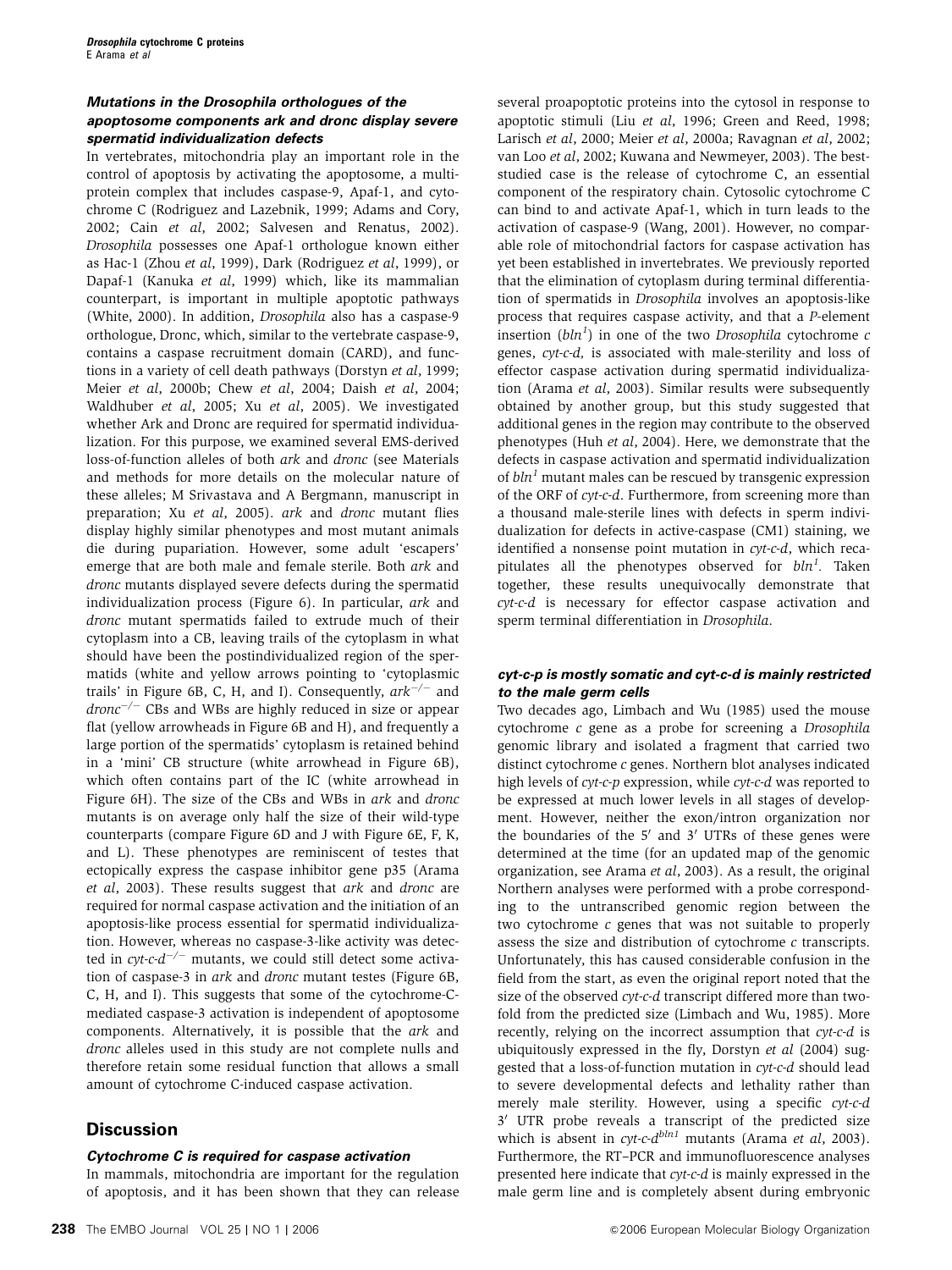### **Mutations in the Drosophila orthologues of the apoptosome components ark and dronc display severe spermatid individualization defects**

In vertebrates, mitochondria play an important role in the control of apoptosis by activating the apoptosome, a multiprotein complex that includes caspase-9, Apaf-1, and cytochrome C (Rodriguez and Lazebnik, 1999; Adams and Cory, 2002; Cain et al, 2002; Salvesen and Renatus, 2002). Drosophila possesses one Apaf-1 orthologue known either as Hac-1 (Zhou et al, 1999), Dark (Rodriguez et al, 1999), or Dapaf-1 (Kanuka et al, 1999) which, like its mammalian counterpart, is important in multiple apoptotic pathways (White, 2000). In addition, Drosophila also has a caspase-9 orthologue, Dronc, which, similar to the vertebrate caspase-9, contains a caspase recruitment domain (CARD), and functions in a variety of cell death pathways (Dorstyn et al, 1999; Meier et al, 2000b; Chew et al, 2004; Daish et al, 2004; Waldhuber et al, 2005; Xu et al, 2005). We investigated whether Ark and Dronc are required for spermatid individualization. For this purpose, we examined several EMS-derived loss-of-function alleles of both ark and dronc (see Materials and methods for more details on the molecular nature of these alleles; M Srivastava and A Bergmann, manuscript in preparation; Xu et al, 2005). ark and dronc mutant flies display highly similar phenotypes and most mutant animals die during pupariation. However, some adult 'escapers' emerge that are both male and female sterile. Both ark and dronc mutants displayed severe defects during the spermatid individualization process (Figure 6). In particular, ark and dronc mutant spermatids failed to extrude much of their cytoplasm into a CB, leaving trails of the cytoplasm in what should have been the postindividualized region of the spermatids (white and yellow arrows pointing to 'cytoplasmic trails' in Figure 6B, C, H, and I). Consequently,  $\frac{ark^{-/ -}}{2}$  and  $\textit{dronic}^{-/-}$  CBs and WBs are highly reduced in size or appear flat (yellow arrowheads in Figure 6B and H), and frequently a large portion of the spermatids' cytoplasm is retained behind in a 'mini' CB structure (white arrowhead in Figure 6B), which often contains part of the IC (white arrowhead in Figure 6H). The size of the CBs and WBs in ark and dronc mutants is on average only half the size of their wild-type counterparts (compare Figure 6D and J with Figure 6E, F, K, and L). These phenotypes are reminiscent of testes that ectopically express the caspase inhibitor gene p35 (Arama et al, 2003). These results suggest that ark and dronc are required for normal caspase activation and the initiation of an apoptosis-like process essential for spermatid individualization. However, whereas no caspase-3-like activity was detected in  $\mathit{cyt\text{-}c\text{-}d}^{-/-}$  mutants, we could still detect some activation of caspase-3 in ark and dronc mutant testes (Figure 6B, C, H, and I). This suggests that some of the cytochrome-Cmediated caspase-3 activation is independent of apoptosome components. Alternatively, it is possible that the ark and dronc alleles used in this study are not complete nulls and therefore retain some residual function that allows a small amount of cytochrome C-induced caspase activation.

# **Discussion**

### **Cytochrome C is required for caspase activation**

In mammals, mitochondria are important for the regulation of apoptosis, and it has been shown that they can release

**238** The EMBO Journal VOL 25 | NO 1 | 2006 **ADD** 2006 **BUO 2006** European Molecular Biology Organization

several proapoptotic proteins into the cytosol in response to apoptotic stimuli (Liu et al, 1996; Green and Reed, 1998; Larisch et al, 2000; Meier et al, 2000a; Ravagnan et al, 2002; van Loo et al, 2002; Kuwana and Newmeyer, 2003). The beststudied case is the release of cytochrome C, an essential component of the respiratory chain. Cytosolic cytochrome C can bind to and activate Apaf-1, which in turn leads to the activation of caspase-9 (Wang, 2001). However, no comparable role of mitochondrial factors for caspase activation has yet been established in invertebrates. We previously reported that the elimination of cytoplasm during terminal differentiation of spermatids in Drosophila involves an apoptosis-like process that requires caspase activity, and that a P-element insertion  $(bln<sup>1</sup>)$  in one of the two Drosophila cytochrome  $c$ genes, cyt-c-d, is associated with male-sterility and loss of effector caspase activation during spermatid individualization (Arama et al, 2003). Similar results were subsequently obtained by another group, but this study suggested that additional genes in the region may contribute to the observed phenotypes (Huh et al, 2004). Here, we demonstrate that the defects in caspase activation and spermatid individualization of  $bln<sup>1</sup>$  mutant males can be rescued by transgenic expression of the ORF of cyt-c-d. Furthermore, from screening more than a thousand male-sterile lines with defects in sperm individualization for defects in active-caspase (CM1) staining, we identified a nonsense point mutation in cyt-c-d, which recapitulates all the phenotypes observed for  $bln^1$ . Taken together, these results unequivocally demonstrate that cyt-c-d is necessary for effector caspase activation and sperm terminal differentiation in Drosophila.

### **cyt-c-p is mostly somatic and cyt-c-d is mainly restricted to the male germ cells**

Two decades ago, Limbach and Wu (1985) used the mouse cytochrome c gene as a probe for screening a Drosophila genomic library and isolated a fragment that carried two distinct cytochrome c genes. Northern blot analyses indicated high levels of cyt-c-p expression, while cyt-c-d was reported to be expressed at much lower levels in all stages of development. However, neither the exon/intron organization nor the boundaries of the  $5'$  and  $3'$  UTRs of these genes were determined at the time (for an updated map of the genomic organization, see Arama et al, 2003). As a result, the original Northern analyses were performed with a probe corresponding to the untranscribed genomic region between the two cytochrome  $c$  genes that was not suitable to properly assess the size and distribution of cytochrome  $c$  transcripts. Unfortunately, this has caused considerable confusion in the field from the start, as even the original report noted that the size of the observed cyt-c-d transcript differed more than twofold from the predicted size (Limbach and Wu, 1985). More recently, relying on the incorrect assumption that cyt-c-d is ubiquitously expressed in the fly, Dorstyn et al (2004) suggested that a loss-of-function mutation in cyt-c-d should lead to severe developmental defects and lethality rather than merely male sterility. However, using a specific cyt-c-d 3' UTR probe reveals a transcript of the predicted size which is absent in  $cvt-c-d^{bln1}$  mutants (Arama et al, 2003). Furthermore, the RT–PCR and immunofluorescence analyses presented here indicate that cyt-c-d is mainly expressed in the male germ line and is completely absent during embryonic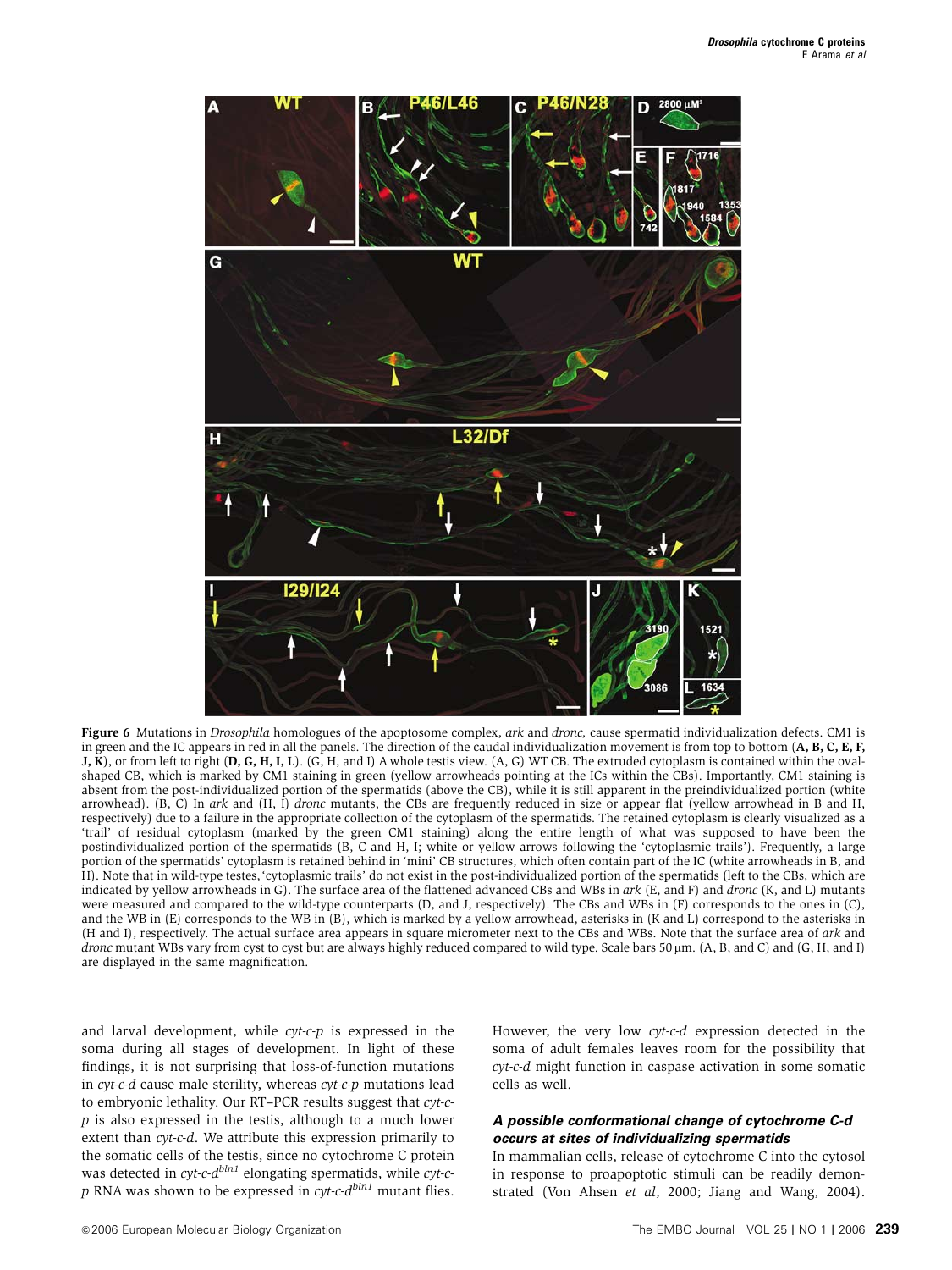

Figure 6 Mutations in *Drosophila* homologues of the apoptosome complex, *ark* and *dronc*, cause spermatid individualization defects. CM1 is in green and the IC appears in red in all the panels. The direction of the caudal individualization movement is from top to bottom (A, B, C, E, F, J, K), or from left to right (D, G, H, I, L). (G, H, and I) A whole testis view. (A, G) WT CB. The extruded cytoplasm is contained within the ovalshaped CB, which is marked by CM1 staining in green (yellow arrowheads pointing at the ICs within the CBs). Importantly, CM1 staining is absent from the post-individualized portion of the spermatids (above the CB), while it is still apparent in the preindividualized portion (white arrowhead). (B, C) In ark and (H, I) dronc mutants, the CBs are frequently reduced in size or appear flat (yellow arrowhead in B and H, respectively) due to a failure in the appropriate collection of the cytoplasm of the spermatids. The retained cytoplasm is clearly visualized as a 'trail' of residual cytoplasm (marked by the green CM1 staining) along the entire length of what was supposed to have been the postindividualized portion of the spermatids (B, C and H, I; white or yellow arrows following the 'cytoplasmic trails'). Frequently, a large portion of the spermatids' cytoplasm is retained behind in 'mini' CB structures, which often contain part of the IC (white arrowheads in B, and H). Note that in wild-type testes,'cytoplasmic trails' do not exist in the post-individualized portion of the spermatids (left to the CBs, which are indicated by yellow arrowheads in G). The surface area of the flattened advanced CBs and WBs in ark (E, and F) and dronc (K, and L) mutants were measured and compared to the wild-type counterparts (D, and J, respectively). The CBs and WBs in (F) corresponds to the ones in (C), and the WB in (E) corresponds to the WB in (B), which is marked by a yellow arrowhead, asterisks in (K and L) correspond to the asterisks in (H and I), respectively. The actual surface area appears in square micrometer next to the CBs and WBs. Note that the surface area of ark and dronc mutant WBs vary from cyst to cyst but are always highly reduced compared to wild type. Scale bars 50 µm. (A, B, and C) and (G, H, and I) are displayed in the same magnification.

and larval development, while cyt-c-p is expressed in the soma during all stages of development. In light of these findings, it is not surprising that loss-of-function mutations in cyt-c-d cause male sterility, whereas cyt-c-p mutations lead to embryonic lethality. Our RT–PCR results suggest that cyt-cp is also expressed in the testis, although to a much lower extent than cyt-c-d. We attribute this expression primarily to the somatic cells of the testis, since no cytochrome C protein was detected in *cyt-c-d<sup>bln1</sup>* elongating spermatids, while *cyt-c* $p$  RNA was shown to be expressed in  $cyt-c-d^{bln1}$  mutant flies. However, the very low cyt-c-d expression detected in the soma of adult females leaves room for the possibility that cyt-c-d might function in caspase activation in some somatic cells as well.

#### **A possible conformational change of cytochrome C-d occurs at sites of individualizing spermatids**

In mammalian cells, release of cytochrome C into the cytosol in response to proapoptotic stimuli can be readily demonstrated (Von Ahsen et al, 2000; Jiang and Wang, 2004).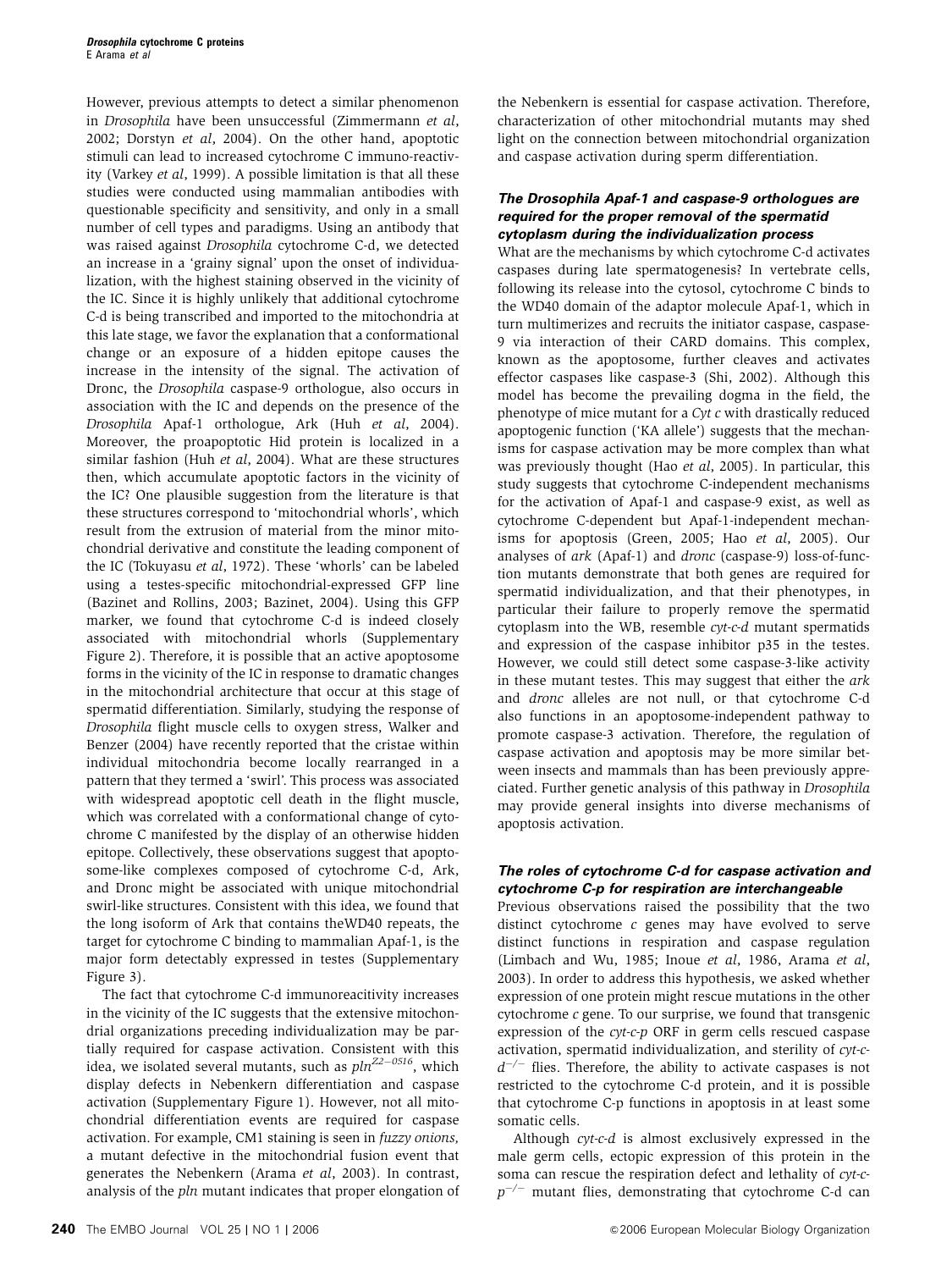However, previous attempts to detect a similar phenomenon in Drosophila have been unsuccessful (Zimmermann et al, 2002; Dorstyn et al, 2004). On the other hand, apoptotic stimuli can lead to increased cytochrome C immuno-reactivity (Varkey et al, 1999). A possible limitation is that all these studies were conducted using mammalian antibodies with questionable specificity and sensitivity, and only in a small number of cell types and paradigms. Using an antibody that was raised against Drosophila cytochrome C-d, we detected an increase in a 'grainy signal' upon the onset of individualization, with the highest staining observed in the vicinity of the IC. Since it is highly unlikely that additional cytochrome C-d is being transcribed and imported to the mitochondria at this late stage, we favor the explanation that a conformational change or an exposure of a hidden epitope causes the increase in the intensity of the signal. The activation of Dronc, the Drosophila caspase-9 orthologue, also occurs in association with the IC and depends on the presence of the Drosophila Apaf-1 orthologue, Ark (Huh et al, 2004). Moreover, the proapoptotic Hid protein is localized in a similar fashion (Huh et al, 2004). What are these structures then, which accumulate apoptotic factors in the vicinity of the IC? One plausible suggestion from the literature is that these structures correspond to 'mitochondrial whorls', which result from the extrusion of material from the minor mitochondrial derivative and constitute the leading component of the IC (Tokuyasu et al, 1972). These 'whorls' can be labeled using a testes-specific mitochondrial-expressed GFP line (Bazinet and Rollins, 2003; Bazinet, 2004). Using this GFP marker, we found that cytochrome C-d is indeed closely associated with mitochondrial whorls (Supplementary Figure 2). Therefore, it is possible that an active apoptosome forms in the vicinity of the IC in response to dramatic changes in the mitochondrial architecture that occur at this stage of spermatid differentiation. Similarly, studying the response of Drosophila flight muscle cells to oxygen stress, Walker and Benzer (2004) have recently reported that the cristae within individual mitochondria become locally rearranged in a pattern that they termed a 'swirl'. This process was associated with widespread apoptotic cell death in the flight muscle, which was correlated with a conformational change of cytochrome C manifested by the display of an otherwise hidden epitope. Collectively, these observations suggest that apoptosome-like complexes composed of cytochrome C-d, Ark, and Dronc might be associated with unique mitochondrial swirl-like structures. Consistent with this idea, we found that the long isoform of Ark that contains theWD40 repeats, the target for cytochrome C binding to mammalian Apaf-1, is the major form detectably expressed in testes (Supplementary Figure 3).

The fact that cytochrome C-d immunoreacitivity increases in the vicinity of the IC suggests that the extensive mitochondrial organizations preceding individualization may be partially required for caspase activation. Consistent with this idea, we isolated several mutants, such as  $pln^{Z2-0516}$ , which display defects in Nebenkern differentiation and caspase activation (Supplementary Figure 1). However, not all mitochondrial differentiation events are required for caspase activation. For example, CM1 staining is seen in fuzzy onions, a mutant defective in the mitochondrial fusion event that generates the Nebenkern (Arama et al, 2003). In contrast, analysis of the pln mutant indicates that proper elongation of

the Nebenkern is essential for caspase activation. Therefore, characterization of other mitochondrial mutants may shed light on the connection between mitochondrial organization and caspase activation during sperm differentiation.

### **The Drosophila Apaf-1 and caspase-9 orthologues are required for the proper removal of the spermatid cytoplasm during the individualization process**

What are the mechanisms by which cytochrome C-d activates caspases during late spermatogenesis? In vertebrate cells, following its release into the cytosol, cytochrome C binds to the WD40 domain of the adaptor molecule Apaf-1, which in turn multimerizes and recruits the initiator caspase, caspase-9 via interaction of their CARD domains. This complex, known as the apoptosome, further cleaves and activates effector caspases like caspase-3 (Shi, 2002). Although this model has become the prevailing dogma in the field, the phenotype of mice mutant for a Cyt c with drastically reduced apoptogenic function ('KA allele') suggests that the mechanisms for caspase activation may be more complex than what was previously thought (Hao et al, 2005). In particular, this study suggests that cytochrome C-independent mechanisms for the activation of Apaf-1 and caspase-9 exist, as well as cytochrome C-dependent but Apaf-1-independent mechanisms for apoptosis (Green, 2005; Hao et al, 2005). Our analyses of ark (Apaf-1) and dronc (caspase-9) loss-of-function mutants demonstrate that both genes are required for spermatid individualization, and that their phenotypes, in particular their failure to properly remove the spermatid cytoplasm into the WB, resemble cyt-c-d mutant spermatids and expression of the caspase inhibitor p35 in the testes. However, we could still detect some caspase-3-like activity in these mutant testes. This may suggest that either the ark and dronc alleles are not null, or that cytochrome C-d also functions in an apoptosome-independent pathway to promote caspase-3 activation. Therefore, the regulation of caspase activation and apoptosis may be more similar between insects and mammals than has been previously appreciated. Further genetic analysis of this pathway in Drosophila may provide general insights into diverse mechanisms of apoptosis activation.

### **The roles of cytochrome C-d for caspase activation and cytochrome C-p for respiration are interchangeable**

Previous observations raised the possibility that the two distinct cytochrome c genes may have evolved to serve distinct functions in respiration and caspase regulation (Limbach and Wu, 1985; Inoue et al, 1986, Arama et al, 2003). In order to address this hypothesis, we asked whether expression of one protein might rescue mutations in the other cytochrome c gene. To our surprise, we found that transgenic expression of the cyt-c-p ORF in germ cells rescued caspase activation, spermatid individualization, and sterility of cyt-c $d^{-/-}$  flies. Therefore, the ability to activate caspases is not restricted to the cytochrome C-d protein, and it is possible that cytochrome C-p functions in apoptosis in at least some somatic cells.

Although cyt-c-d is almost exclusively expressed in the male germ cells, ectopic expression of this protein in the soma can rescue the respiration defect and lethality of cyt-c $p^{-/-}$  mutant flies, demonstrating that cytochrome C-d can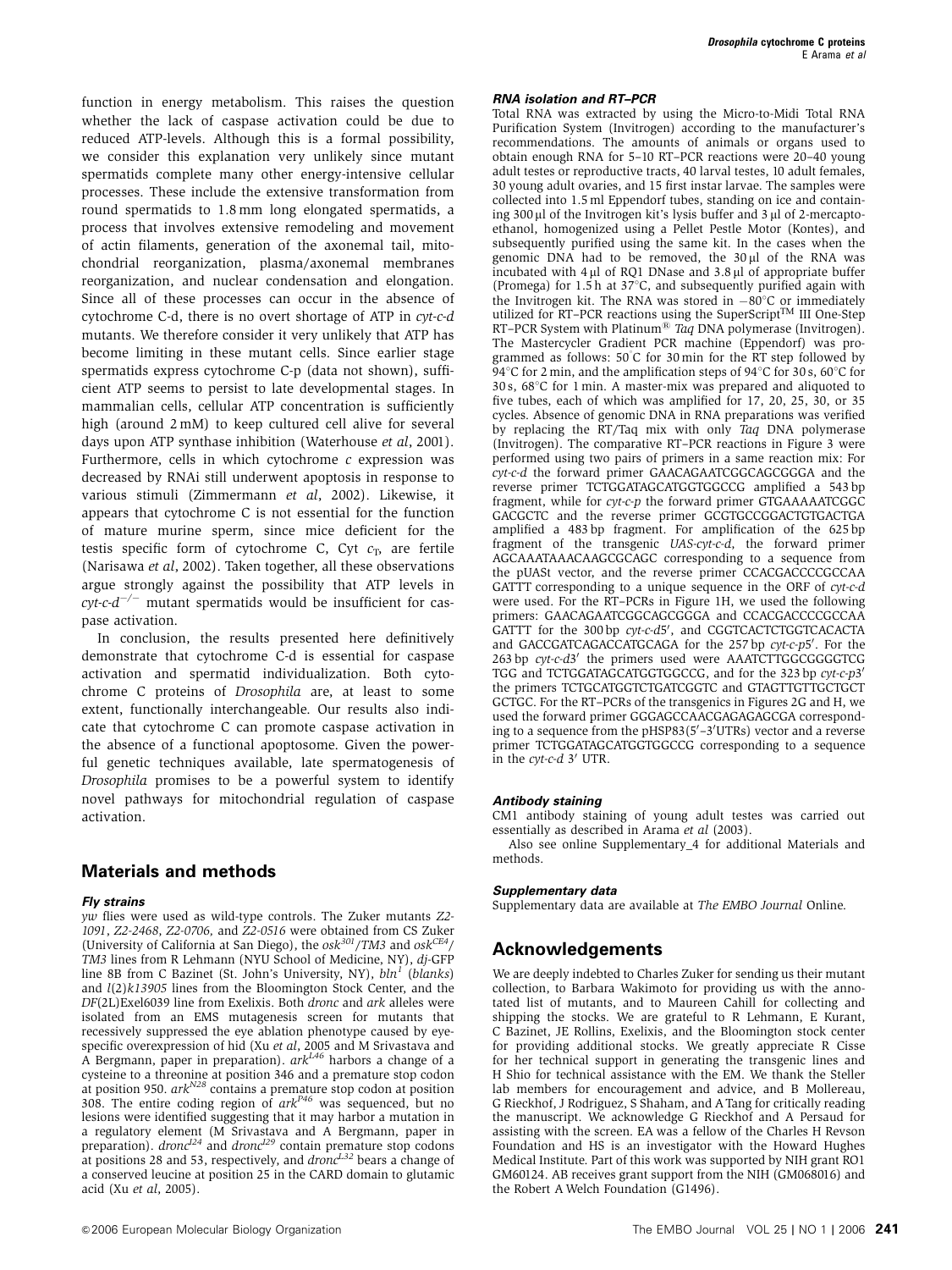function in energy metabolism. This raises the question whether the lack of caspase activation could be due to reduced ATP-levels. Although this is a formal possibility, we consider this explanation very unlikely since mutant spermatids complete many other energy-intensive cellular processes. These include the extensive transformation from round spermatids to 1.8 mm long elongated spermatids, a process that involves extensive remodeling and movement of actin filaments, generation of the axonemal tail, mitochondrial reorganization, plasma/axonemal membranes reorganization, and nuclear condensation and elongation. Since all of these processes can occur in the absence of cytochrome C-d, there is no overt shortage of ATP in cyt-c-d mutants. We therefore consider it very unlikely that ATP has become limiting in these mutant cells. Since earlier stage spermatids express cytochrome C-p (data not shown), sufficient ATP seems to persist to late developmental stages. In mammalian cells, cellular ATP concentration is sufficiently high (around 2 mM) to keep cultured cell alive for several days upon ATP synthase inhibition (Waterhouse et al, 2001). Furthermore, cells in which cytochrome  $c$  expression was decreased by RNAi still underwent apoptosis in response to various stimuli (Zimmermann et al, 2002). Likewise, it appears that cytochrome C is not essential for the function of mature murine sperm, since mice deficient for the testis specific form of cytochrome C, Cyt  $c_T$ , are fertile (Narisawa et al, 2002). Taken together, all these observations argue strongly against the possibility that ATP levels in  $\frac{cyl-c-d^{-/-}}{T}$  mutant spermatids would be insufficient for caspase activation.

In conclusion, the results presented here definitively demonstrate that cytochrome C-d is essential for caspase activation and spermatid individualization. Both cytochrome C proteins of Drosophila are, at least to some extent, functionally interchangeable. Our results also indicate that cytochrome C can promote caspase activation in the absence of a functional apoptosome. Given the powerful genetic techniques available, late spermatogenesis of Drosophila promises to be a powerful system to identify novel pathways for mitochondrial regulation of caspase activation.

### **Materials and methods**

#### **Fly strains**

yw flies were used as wild-type controls. The Zuker mutants Z2- 1091, Z2-2468, Z2-0706, and Z2-0516 were obtained from CS Zuker (University of California at San Diego), the  $\frac{\text{cos}^{301}}{\text{7M3}}$  and  $\frac{\text{cos}^{CE4}}{\text{7}}$ TM3 lines from R Lehmann (NYU School of Medicine, NY), dj-GFP line 8B from C Bazinet (St. John's University, NY),  $bln<sup>1</sup>$  (blanks) and  $l(2)k13905$  lines from the Bloomington Stock Center, and the DF(2L)Exel6039 line from Exelixis. Both dronc and ark alleles were isolated from an EMS mutagenesis screen for mutants that recessively suppressed the eye ablation phenotype caused by eyespecific overexpression of hid (Xu et al, 2005 and M Srivastava and A Bergmann, paper in preparation).  $ark^{L46}$  harbors a change of a cysteine to a threonine at position 346 and a premature stop codon at position 950.  $ark^{N28}$  contains a premature stop codon at position 308. The entire coding region of  $ark^{P46}$  was sequenced, but no lesions were identified suggesting that it may harbor a mutation in a regulatory element (M Srivastava and A Bergmann, paper in preparation).  $d$ *ronc*<sup> $124$ </sup> and  $d$ *ronc*<sup> $129$ </sup> contain premature stop codons at positions 28 and 53, respectively, and  $dronc^{L32}$  bears a change of a conserved leucine at position 25 in the CARD domain to glutamic acid (Xu et al, 2005).

#### **RNA isolation and RT–PCR**

Total RNA was extracted by using the Micro-to-Midi Total RNA Purification System (Invitrogen) according to the manufacturer's recommendations. The amounts of animals or organs used to obtain enough RNA for 5–10 RT–PCR reactions were 20–40 young adult testes or reproductive tracts, 40 larval testes, 10 adult females, 30 young adult ovaries, and 15 first instar larvae. The samples were collected into 1.5 ml Eppendorf tubes, standing on ice and containing  $300 \mu$ l of the Invitrogen kit's lysis buffer and  $3 \mu$ l of 2-mercaptoethanol, homogenized using a Pellet Pestle Motor (Kontes), and subsequently purified using the same kit. In the cases when the genomic DNA had to be removed, the  $30 \mu l$  of the RNA was incubated with  $4 \mu$ l of RQ1 DNase and  $3.8 \mu$ l of appropriate buffer (Promega) for 1.5 h at  $37^{\circ}$ C, and subsequently purified again with the Invitrogen kit. The RNA was stored in  $-80^{\circ}$ C or immediately utilized for RT–PCR reactions using the SuperScript<sup>TM</sup> III One-Step RT–PCR System with Platinum<sup>®</sup> Taq DNA polymerase (Invitrogen). The Mastercycler Gradient PCR machine (Eppendorf) was programmed as follows: 50°C for 30 min for the RT step followed by 94 $\degree$ C for 2 min, and the amplification steps of 94 $\degree$ C for 30 s, 60 $\degree$ C for 30 s,  $68^{\circ}$ C for 1 min. A master-mix was prepared and aliquoted to five tubes, each of which was amplified for 17, 20, 25, 30, or 35 cycles. Absence of genomic DNA in RNA preparations was verified by replacing the RT/Taq mix with only Taq DNA polymerase (Invitrogen). The comparative RT–PCR reactions in Figure 3 were performed using two pairs of primers in a same reaction mix: For cyt-c-d the forward primer GAACAGAATCGGCAGCGGGA and the reverse primer TCTGGATAGCATGGTGGCCG amplified a 543 bp fragment, while for cyt-c-p the forward primer GTGAAAAATCGGC GACGCTC and the reverse primer GCGTGCCGGACTGTGACTGA amplified a 483 bp fragment. For amplification of the 625 bp fragment of the transgenic UAS-cyt-c-d, the forward primer AGCAAATAAACAAGCGCAGC corresponding to a sequence from the pUASt vector, and the reverse primer CCACGACCCCGCCAA GATTT corresponding to a unique sequence in the ORF of cyt-c-d were used. For the RT–PCRs in Figure 1H, we used the following primers: GAACAGAATCGGCAGCGGGA and CCACGACCCCGCCAA GATTT for the 300 bp cyt-c-d5', and CGGTCACTCTGGTCACACTA and GACCGATCAGACCATGCAGA for the 257 bp cyt-c-p5'. For the 263 bp cyt-c-d3' the primers used were AAATCTTGGCGGGGTCG TGG and TCTGGATAGCATGGTGGCCG, and for the 323 bp cyt-c-p3<sup>'</sup> the primers TCTGCATGGTCTGATCGGTC and GTAGTTGTTGCTGCT GCTGC. For the RT–PCRs of the transgenics in Figures 2G and H, we used the forward primer GGGAGCCAACGAGAGAGCGA corresponding to a sequence from the pHSP83(5'-3'UTRs) vector and a reverse primer TCTGGATAGCATGGTGGCCG corresponding to a sequence in the  $cyt$ -c-d  $3'$  UTR.

#### **Antibody staining**

CM1 antibody staining of young adult testes was carried out essentially as described in Arama et al (2003).

Also see online Supplementary\_4 for additional Materials and methods.

#### **Supplementary data**

Supplementary data are available at The EMBO Journal Online.

# **Acknowledgements**

We are deeply indebted to Charles Zuker for sending us their mutant collection, to Barbara Wakimoto for providing us with the annotated list of mutants, and to Maureen Cahill for collecting and shipping the stocks. We are grateful to R Lehmann, E Kurant, C Bazinet, JE Rollins, Exelixis, and the Bloomington stock center for providing additional stocks. We greatly appreciate R Cisse for her technical support in generating the transgenic lines and H Shio for technical assistance with the EM. We thank the Steller lab members for encouragement and advice, and B Mollereau, G Rieckhof, J Rodriguez, S Shaham, and ATang for critically reading the manuscript. We acknowledge G Rieckhof and A Persaud for assisting with the screen. EA was a fellow of the Charles H Revson Foundation and HS is an investigator with the Howard Hughes Medical Institute. Part of this work was supported by NIH grant RO1 GM60124. AB receives grant support from the NIH (GM068016) and the Robert A Welch Foundation (G1496).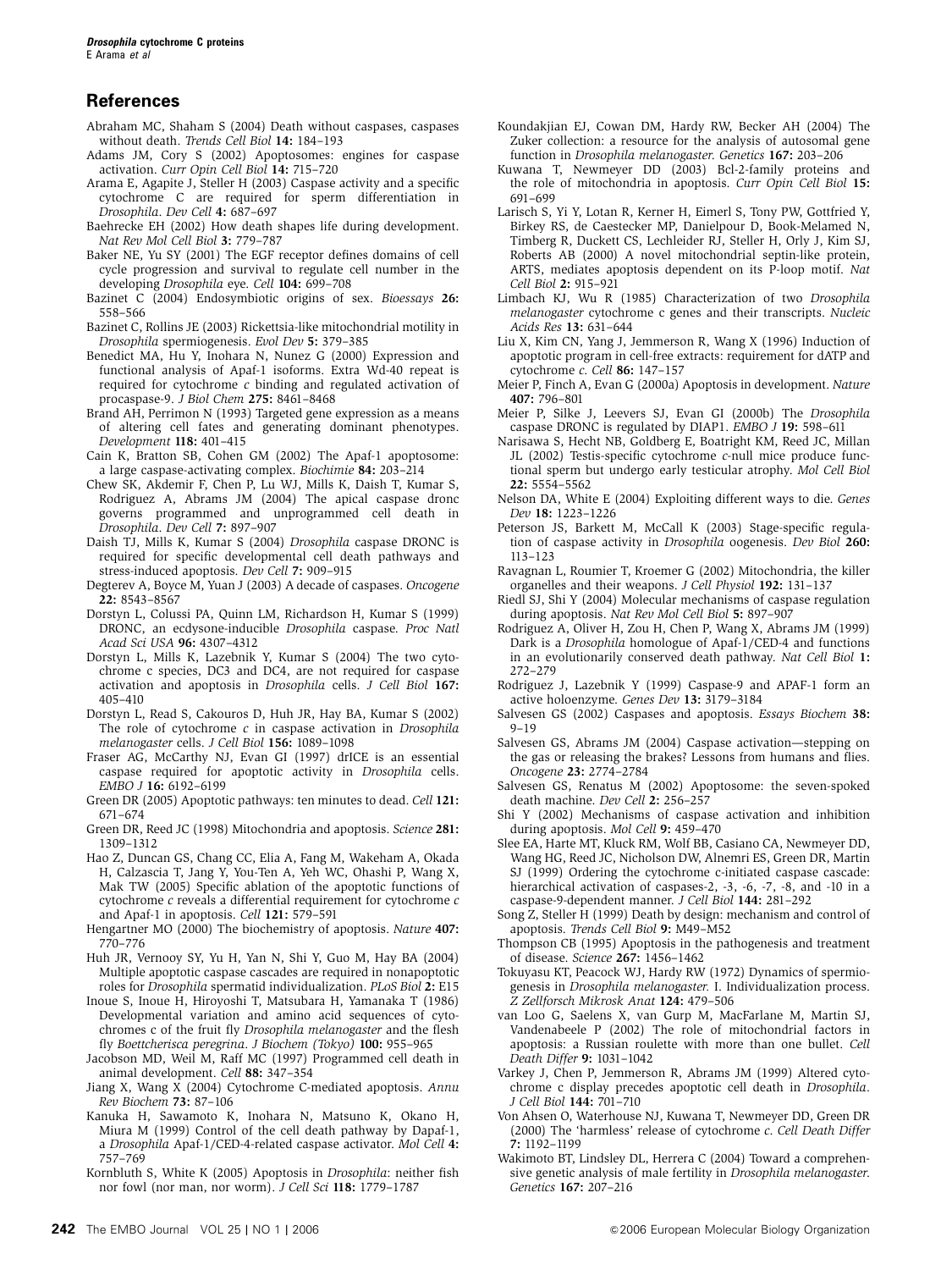### **References**

- Abraham MC, Shaham S (2004) Death without caspases, caspases without death. Trends Cell Biol 14: 184–193
- Adams JM, Cory S (2002) Apoptosomes: engines for caspase activation. Curr Opin Cell Biol 14: 715–720
- Arama E, Agapite J, Steller H (2003) Caspase activity and a specific cytochrome C are required for sperm differentiation in Drosophila. Dev Cell 4: 687–697
- Baehrecke EH (2002) How death shapes life during development. Nat Rev Mol Cell Biol 3: 779–787
- Baker NE, Yu SY (2001) The EGF receptor defines domains of cell cycle progression and survival to regulate cell number in the developing Drosophila eye. Cell 104: 699–708
- Bazinet C (2004) Endosymbiotic origins of sex. Bioessays 26: 558–566
- Bazinet C, Rollins JE (2003) Rickettsia-like mitochondrial motility in Drosophila spermiogenesis. Evol Dev 5: 379–385
- Benedict MA, Hu Y, Inohara N, Nunez G (2000) Expression and functional analysis of Apaf-1 isoforms. Extra Wd-40 repeat is required for cytochrome c binding and regulated activation of procaspase-9. J Biol Chem 275: 8461–8468
- Brand AH, Perrimon N (1993) Targeted gene expression as a means of altering cell fates and generating dominant phenotypes. Development 118: 401–415
- Cain K, Bratton SB, Cohen GM (2002) The Apaf-1 apoptosome: a large caspase-activating complex. Biochimie 84: 203–214
- Chew SK, Akdemir F, Chen P, Lu WJ, Mills K, Daish T, Kumar S, Rodriguez A, Abrams JM (2004) The apical caspase dronc governs programmed and unprogrammed cell death in Drosophila. Dev Cell 7: 897–907
- Daish TJ, Mills K, Kumar S (2004) Drosophila caspase DRONC is required for specific developmental cell death pathways and stress-induced apoptosis. Dev Cell 7: 909–915
- Degterev A, Boyce M, Yuan J (2003) A decade of caspases. Oncogene 22: 8543–8567
- Dorstyn L, Colussi PA, Quinn LM, Richardson H, Kumar S (1999) DRONC, an ecdysone-inducible Drosophila caspase. Proc Natl Acad Sci USA 96: 4307–4312
- Dorstyn L, Mills K, Lazebnik Y, Kumar S (2004) The two cytochrome c species, DC3 and DC4, are not required for caspase activation and apoptosis in Drosophila cells. J Cell Biol 167: 405–410
- Dorstyn L, Read S, Cakouros D, Huh JR, Hay BA, Kumar S (2002) The role of cytochrome  $c$  in caspase activation in Drosophila melanogaster cells. J Cell Biol 156: 1089–1098
- Fraser AG, McCarthy NJ, Evan GI (1997) drICE is an essential caspase required for apoptotic activity in Drosophila cells. EMBO J 16: 6192–6199
- Green DR (2005) Apoptotic pathways: ten minutes to dead. Cell 121: 671–674
- Green DR, Reed JC (1998) Mitochondria and apoptosis. Science 281: 1309–1312
- Hao Z, Duncan GS, Chang CC, Elia A, Fang M, Wakeham A, Okada H, Calzascia T, Jang Y, You-Ten A, Yeh WC, Ohashi P, Wang X, Mak TW (2005) Specific ablation of the apoptotic functions of cytochrome c reveals a differential requirement for cytochrome c and Apaf-1 in apoptosis. Cell 121: 579-591
- Hengartner MO (2000) The biochemistry of apoptosis. Nature 407: 770–776
- Huh JR, Vernooy SY, Yu H, Yan N, Shi Y, Guo M, Hay BA (2004) Multiple apoptotic caspase cascades are required in nonapoptotic roles for Drosophila spermatid individualization. PLoS Biol 2: E15
- Inoue S, Inoue H, Hiroyoshi T, Matsubara H, Yamanaka T (1986) Developmental variation and amino acid sequences of cytochromes c of the fruit fly Drosophila melanogaster and the flesh fly Boettcherisca peregrina. J Biochem (Tokyo) 100: 955–965
- Jacobson MD, Weil M, Raff MC (1997) Programmed cell death in animal development. Cell 88: 347–354
- Jiang X, Wang  $\overline{X}$  (2004) Cytochrome C-mediated apoptosis. Annu Rev Biochem 73: 87–106
- Kanuka H, Sawamoto K, Inohara N, Matsuno K, Okano H, Miura M (1999) Control of the cell death pathway by Dapaf-1, a Drosophila Apaf-1/CED-4-related caspase activator. Mol Cell 4: 757–769
- Kornbluth S, White K (2005) Apoptosis in Drosophila: neither fish nor fowl (nor man, nor worm). J Cell Sci 118: 1779–1787
- Koundakjian EJ, Cowan DM, Hardy RW, Becker AH (2004) The Zuker collection: a resource for the analysis of autosomal gene function in Drosophila melanogaster. Genetics 167: 203–206
- Kuwana T, Newmeyer DD (2003) Bcl-2-family proteins and the role of mitochondria in apoptosis. Curr Opin Cell Biol 15: 691–699
- Larisch S, Yi Y, Lotan R, Kerner H, Eimerl S, Tony PW, Gottfried Y, Birkey RS, de Caestecker MP, Danielpour D, Book-Melamed N, Timberg R, Duckett CS, Lechleider RJ, Steller H, Orly J, Kim SJ, Roberts AB (2000) A novel mitochondrial septin-like protein, ARTS, mediates apoptosis dependent on its P-loop motif. Nat Cell Biol 2: 915–921
- Limbach KJ, Wu R (1985) Characterization of two Drosophila melanogaster cytochrome c genes and their transcripts. Nucleic Acids Res 13: 631–644
- Liu X, Kim CN, Yang J, Jemmerson R, Wang X (1996) Induction of apoptotic program in cell-free extracts: requirement for dATP and cytochrome c. Cell 86: 147–157
- Meier P, Finch A, Evan G (2000a) Apoptosis in development. Nature 407: 796–801
- Meier P, Silke J, Leevers SJ, Evan GI (2000b) The Drosophila caspase DRONC is regulated by DIAP1. EMBO J 19: 598–611
- Narisawa S, Hecht NB, Goldberg E, Boatright KM, Reed JC, Millan JL (2002) Testis-specific cytochrome c-null mice produce functional sperm but undergo early testicular atrophy. Mol Cell Biol 22: 5554–5562
- Nelson DA, White E (2004) Exploiting different ways to die. Genes Dev 18: 1223–1226
- Peterson JS, Barkett M, McCall K (2003) Stage-specific regulation of caspase activity in Drosophila oogenesis. Dev Biol 260: 113–123
- Ravagnan L, Roumier T, Kroemer G (2002) Mitochondria, the killer organelles and their weapons. J Cell Physiol 192: 131–137
- Riedl SJ, Shi Y (2004) Molecular mechanisms of caspase regulation during apoptosis. Nat Rev Mol Cell Biol 5: 897–907
- Rodriguez A, Oliver H, Zou H, Chen P, Wang X, Abrams JM (1999) Dark is a Drosophila homologue of Apaf-1/CED-4 and functions in an evolutionarily conserved death pathway. Nat Cell Biol 1: 272–279
- Rodriguez J, Lazebnik Y (1999) Caspase-9 and APAF-1 form an active holoenzyme. Genes Dev 13: 3179–3184
- Salvesen GS (2002) Caspases and apoptosis. Essays Biochem 38: 9–19
- Salvesen GS, Abrams JM (2004) Caspase activation—stepping on the gas or releasing the brakes? Lessons from humans and flies. Oncogene 23: 2774–2784
- Salvesen GS, Renatus M (2002) Apoptosome: the seven-spoked death machine. Dev Cell 2: 256–257
- Shi Y (2002) Mechanisms of caspase activation and inhibition during apoptosis. Mol Cell 9: 459-470
- Slee EA, Harte MT, Kluck RM, Wolf BB, Casiano CA, Newmeyer DD, Wang HG, Reed JC, Nicholson DW, Alnemri ES, Green DR, Martin SJ (1999) Ordering the cytochrome c-initiated caspase cascade: hierarchical activation of caspases-2, -3, -6, -7, -8, and -10 in a caspase-9-dependent manner. J Cell Biol 144: 281–292
- Song Z, Steller H (1999) Death by design: mechanism and control of apoptosis. Trends Cell Biol 9: M49–M52
- Thompson CB (1995) Apoptosis in the pathogenesis and treatment of disease. Science 267: 1456–1462
- Tokuyasu KT, Peacock WJ, Hardy RW (1972) Dynamics of spermiogenesis in Drosophila melanogaster. I. Individualization process. Z Zellforsch Mikrosk Anat 124: 479–506
- van Loo G, Saelens X, van Gurp M, MacFarlane M, Martin SJ, Vandenabeele P (2002) The role of mitochondrial factors in apoptosis: a Russian roulette with more than one bullet. Cell Death Differ 9: 1031–1042
- Varkey J, Chen P, Jemmerson R, Abrams JM (1999) Altered cytochrome c display precedes apoptotic cell death in Drosophila. J Cell Biol 144: 701–710
- Von Ahsen O, Waterhouse NJ, Kuwana T, Newmeyer DD, Green DR (2000) The 'harmless' release of cytochrome c. Cell Death Differ 7: 1192–1199
- Wakimoto BT, Lindsley DL, Herrera C (2004) Toward a comprehensive genetic analysis of male fertility in Drosophila melanogaster. Genetics 167: 207–216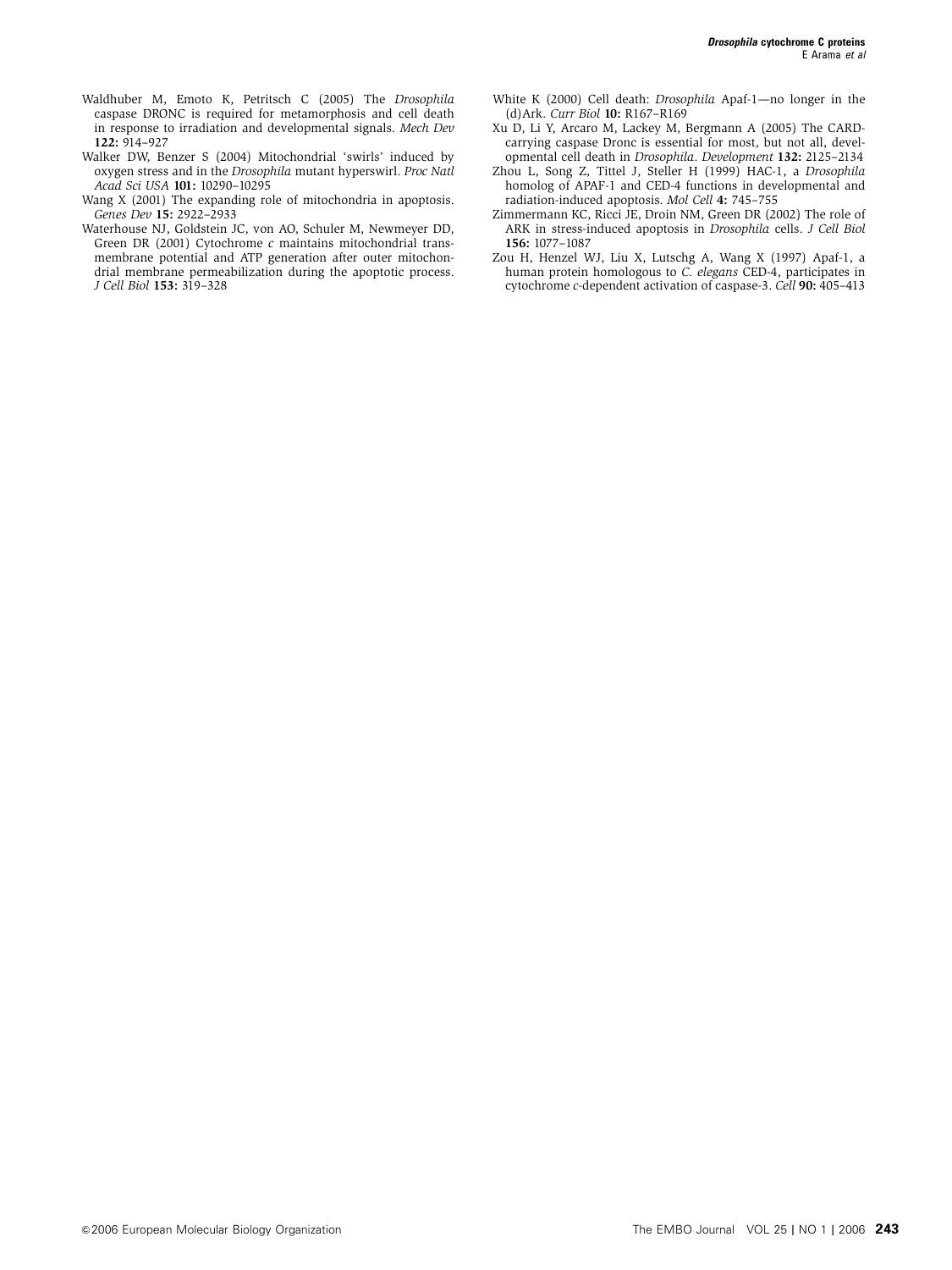- Waldhuber M, Emoto K, Petritsch C (2005) The Drosophila caspase DRONC is required for metamorphosis and cell death in response to irradiation and developmental signals. Mech Dev 122: 914–927
- Walker DW, Benzer S (2004) Mitochondrial 'swirls' induced by oxygen stress and in the Drosophila mutant hyperswirl. Proc Natl Acad Sci USA 101: 10290–10295
- Wang X (2001) The expanding role of mitochondria in apoptosis. Genes Dev 15: 2922–2933
- Waterhouse NJ, Goldstein JC, von AO, Schuler M, Newmeyer DD, Green DR (2001) Cytochrome c maintains mitochondrial transmembrane potential and ATP generation after outer mitochondrial membrane permeabilization during the apoptotic process. J Cell Biol 153: 319–328
- White K (2000) Cell death: Drosophila Apaf-1—no longer in the (d)Ark. Curr Biol 10: R167–R169
- Xu D, Li Y, Arcaro M, Lackey M, Bergmann A (2005) The CARDcarrying caspase Dronc is essential for most, but not all, developmental cell death in Drosophila. Development 132: 2125–2134
- Zhou L, Song Z, Tittel J, Steller H (1999) HAC-1, a Drosophila homolog of APAF-1 and CED-4 functions in developmental and radiation-induced apoptosis. Mol Cell 4: 745–755
- Zimmermann KC, Ricci JE, Droin NM, Green DR (2002) The role of ARK in stress-induced apoptosis in Drosophila cells. J Cell Biol 156: 1077–1087
- Zou H, Henzel WJ, Liu X, Lutschg A, Wang X (1997) Apaf-1, a human protein homologous to C. elegans CED-4, participates in cytochrome c-dependent activation of caspase-3. Cell 90: 405–413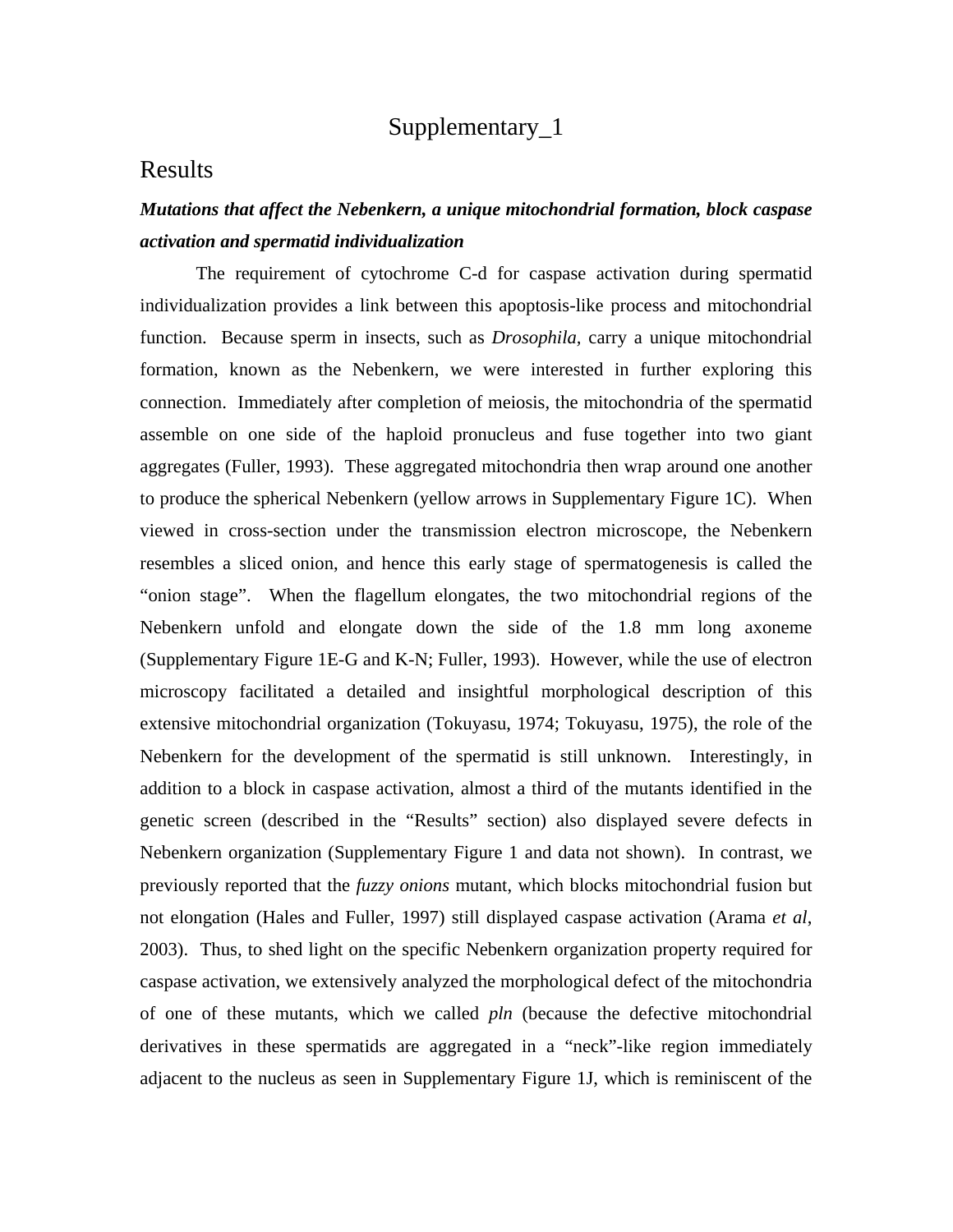# Supplementary\_1

# Results

# *Mutations that affect the Nebenkern, a unique mitochondrial formation, block caspase activation and spermatid individualization*

 The requirement of cytochrome C-d for caspase activation during spermatid individualization provides a link between this apoptosis-like process and mitochondrial function. Because sperm in insects, such as *Drosophila,* carry a unique mitochondrial formation, known as the Nebenkern, we were interested in further exploring this connection. Immediately after completion of meiosis, the mitochondria of the spermatid assemble on one side of the haploid pronucleus and fuse together into two giant aggregates (Fuller, 1993). These aggregated mitochondria then wrap around one another to produce the spherical Nebenkern (yellow arrows in Supplementary Figure 1C). When viewed in cross-section under the transmission electron microscope, the Nebenkern resembles a sliced onion, and hence this early stage of spermatogenesis is called the "onion stage". When the flagellum elongates, the two mitochondrial regions of the Nebenkern unfold and elongate down the side of the 1.8 mm long axoneme (Supplementary Figure 1E-G and K-N; Fuller, 1993). However, while the use of electron microscopy facilitated a detailed and insightful morphological description of this extensive mitochondrial organization (Tokuyasu, 1974; Tokuyasu, 1975), the role of the Nebenkern for the development of the spermatid is still unknown. Interestingly, in addition to a block in caspase activation, almost a third of the mutants identified in the genetic screen (described in the "Results" section) also displayed severe defects in Nebenkern organization (Supplementary Figure 1 and data not shown). In contrast, we previously reported that the *fuzzy onions* mutant, which blocks mitochondrial fusion but not elongation (Hales and Fuller, 1997) still displayed caspase activation (Arama *et al*, 2003). Thus, to shed light on the specific Nebenkern organization property required for caspase activation, we extensively analyzed the morphological defect of the mitochondria of one of these mutants, which we called *pln* (because the defective mitochondrial derivatives in these spermatids are aggregated in a "neck"-like region immediately adjacent to the nucleus as seen in Supplementary Figure 1J, which is reminiscent of the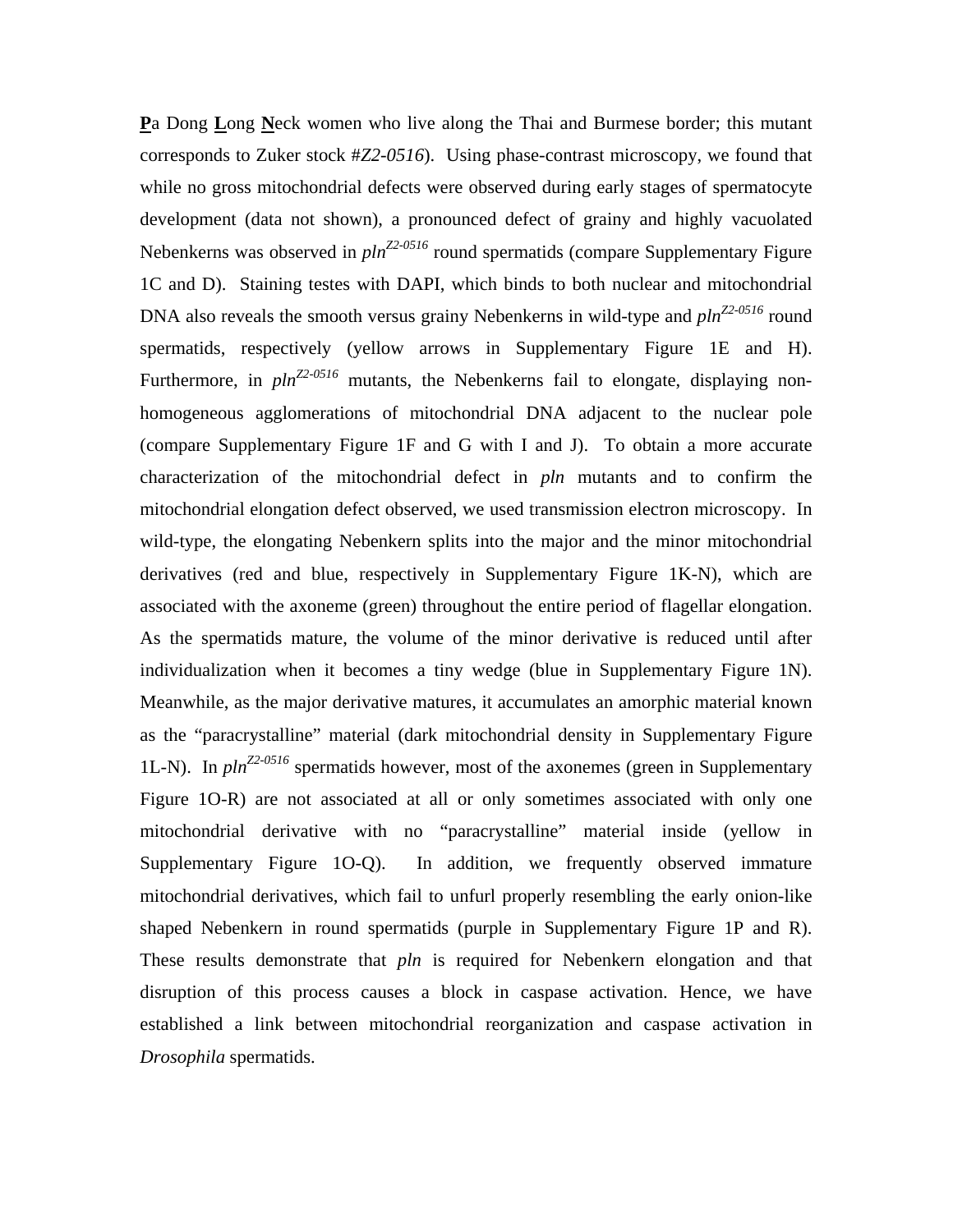**P**a Dong **L**ong **N**eck women who live along the Thai and Burmese border; this mutant corresponds to Zuker stock #*Z2-0516*). Using phase-contrast microscopy, we found that while no gross mitochondrial defects were observed during early stages of spermatocyte development (data not shown), a pronounced defect of grainy and highly vacuolated Nebenkerns was observed in  $pln^{Z2-0516}$  round spermatids (compare Supplementary Figure 1C and D). Staining testes with DAPI, which binds to both nuclear and mitochondrial DNA also reveals the smooth versus grainy Nebenkerns in wild-type and  $\text{pln}^{\text{Z2-0516}}$  round spermatids, respectively (yellow arrows in Supplementary Figure 1E and H). Furthermore, in  $pln^{Z2-0516}$  mutants, the Nebenkerns fail to elongate, displaying nonhomogeneous agglomerations of mitochondrial DNA adjacent to the nuclear pole (compare Supplementary Figure 1F and G with I and J). To obtain a more accurate characterization of the mitochondrial defect in *pln* mutants and to confirm the mitochondrial elongation defect observed, we used transmission electron microscopy. In wild-type, the elongating Nebenkern splits into the major and the minor mitochondrial derivatives (red and blue, respectively in Supplementary Figure 1K-N), which are associated with the axoneme (green) throughout the entire period of flagellar elongation. As the spermatids mature, the volume of the minor derivative is reduced until after individualization when it becomes a tiny wedge (blue in Supplementary Figure 1N). Meanwhile, as the major derivative matures, it accumulates an amorphic material known as the "paracrystalline" material (dark mitochondrial density in Supplementary Figure 1L-N). In  $pln^{Z2-0516}$  spermatids however, most of the axonemes (green in Supplementary Figure 1O-R) are not associated at all or only sometimes associated with only one mitochondrial derivative with no "paracrystalline" material inside (yellow in Supplementary Figure 1O-Q). In addition, we frequently observed immature mitochondrial derivatives, which fail to unfurl properly resembling the early onion-like shaped Nebenkern in round spermatids (purple in Supplementary Figure 1P and R). These results demonstrate that *pln* is required for Nebenkern elongation and that disruption of this process causes a block in caspase activation. Hence, we have established a link between mitochondrial reorganization and caspase activation in *Drosophila* spermatids.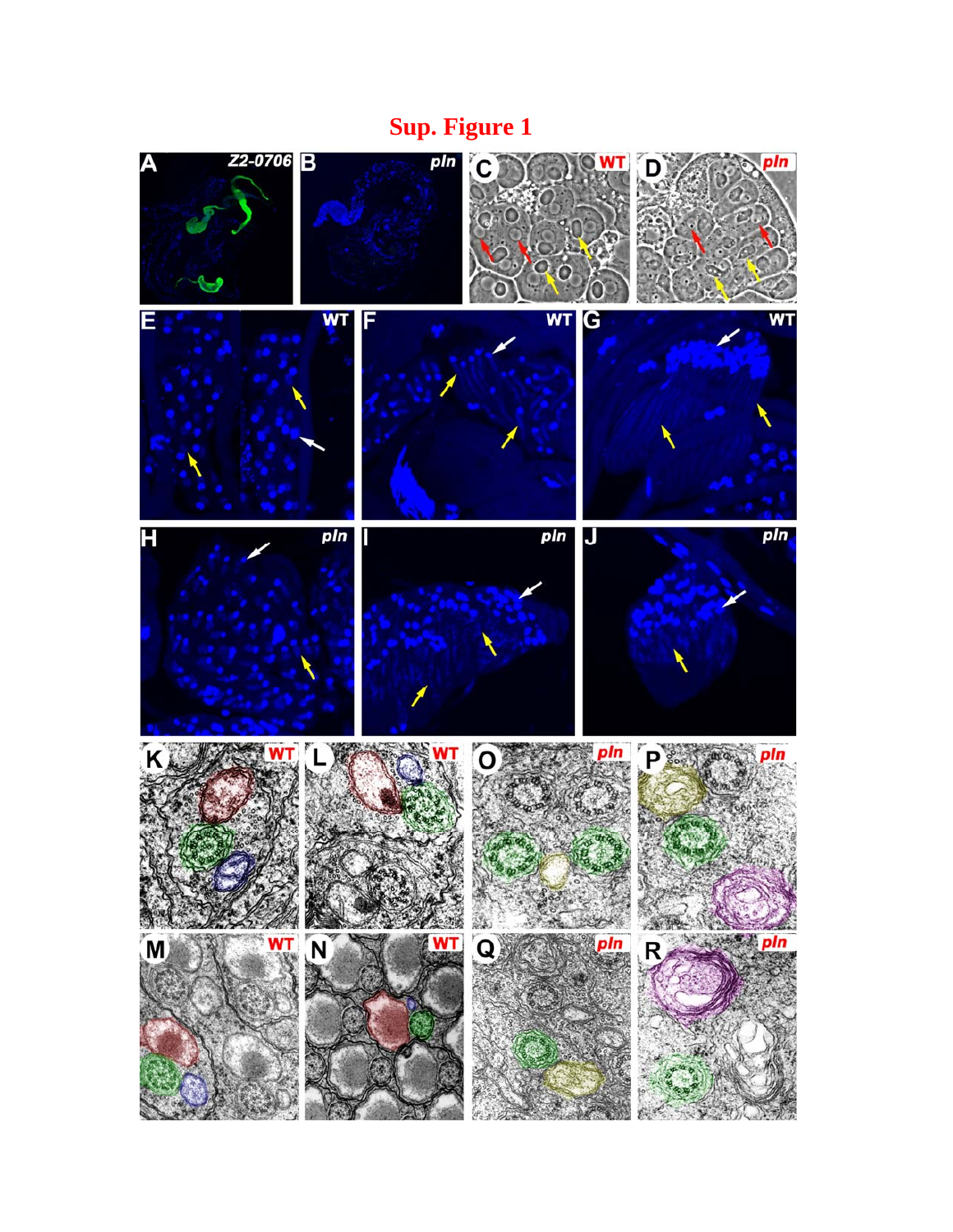# **Sup. Figure 1**

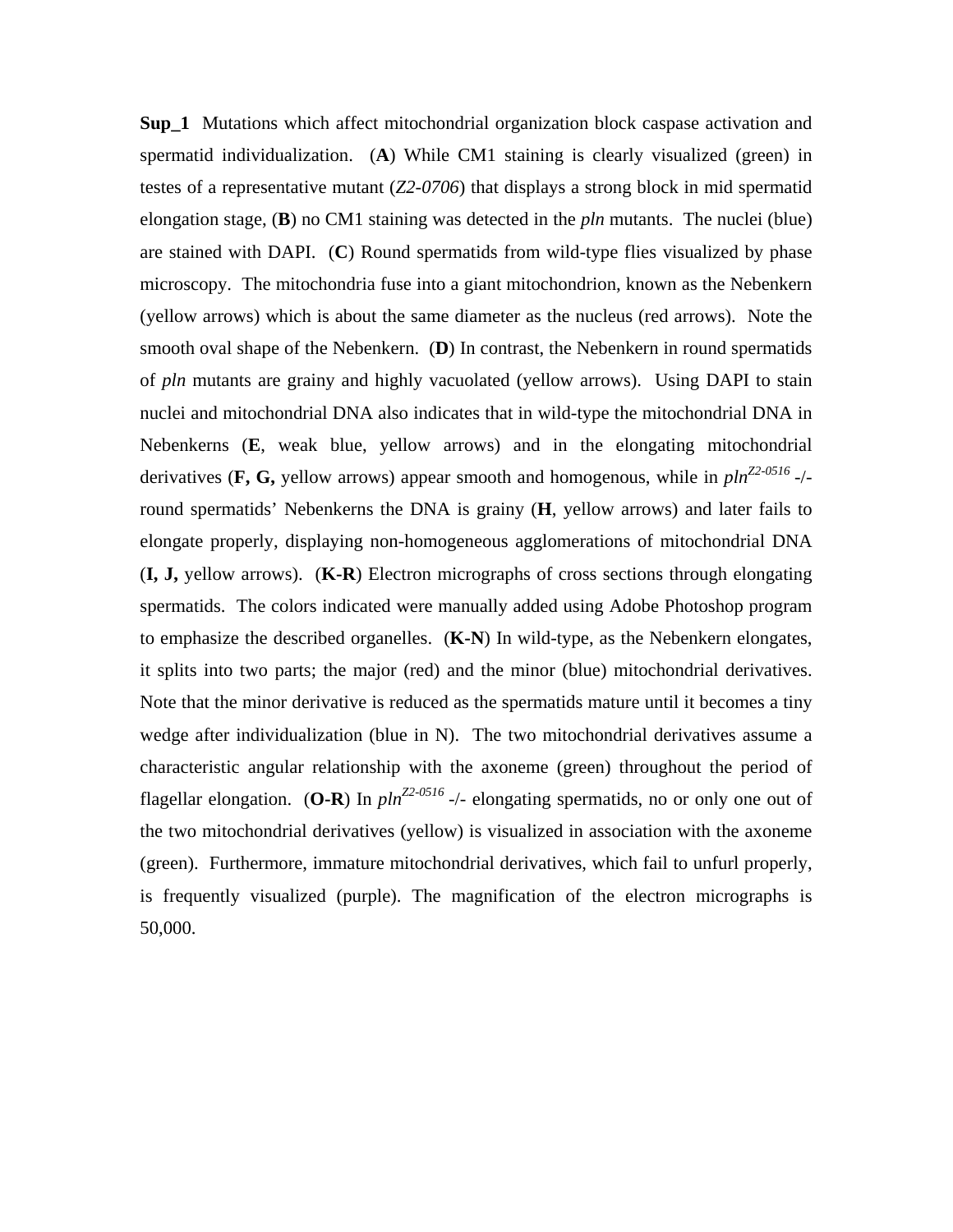**Sup\_1** Mutations which affect mitochondrial organization block caspase activation and spermatid individualization. (**A**) While CM1 staining is clearly visualized (green) in testes of a representative mutant (*Z2-0706*) that displays a strong block in mid spermatid elongation stage, (**B**) no CM1 staining was detected in the *pln* mutants. The nuclei (blue) are stained with DAPI. (**C**) Round spermatids from wild-type flies visualized by phase microscopy. The mitochondria fuse into a giant mitochondrion, known as the Nebenkern (yellow arrows) which is about the same diameter as the nucleus (red arrows). Note the smooth oval shape of the Nebenkern. (**D**) In contrast, the Nebenkern in round spermatids of *pln* mutants are grainy and highly vacuolated (yellow arrows). Using DAPI to stain nuclei and mitochondrial DNA also indicates that in wild-type the mitochondrial DNA in Nebenkerns (**E**, weak blue, yellow arrows) and in the elongating mitochondrial derivatives (**F, G,** yellow arrows) appear smooth and homogenous, while in  $\text{pl}n^{\text{Z2-0516}}$ -/round spermatids' Nebenkerns the DNA is grainy (**H**, yellow arrows) and later fails to elongate properly, displaying non-homogeneous agglomerations of mitochondrial DNA (**I, J,** yellow arrows). (**K-R**) Electron micrographs of cross sections through elongating spermatids. The colors indicated were manually added using Adobe Photoshop program to emphasize the described organelles. (**K-N**) In wild-type, as the Nebenkern elongates, it splits into two parts; the major (red) and the minor (blue) mitochondrial derivatives. Note that the minor derivative is reduced as the spermatids mature until it becomes a tiny wedge after individualization (blue in N). The two mitochondrial derivatives assume a characteristic angular relationship with the axoneme (green) throughout the period of flagellar elongation. (**O-R**) In  $pln^{Z2-0516}$  -/- elongating spermatids, no or only one out of the two mitochondrial derivatives (yellow) is visualized in association with the axoneme (green). Furthermore, immature mitochondrial derivatives, which fail to unfurl properly, is frequently visualized (purple). The magnification of the electron micrographs is 50,000.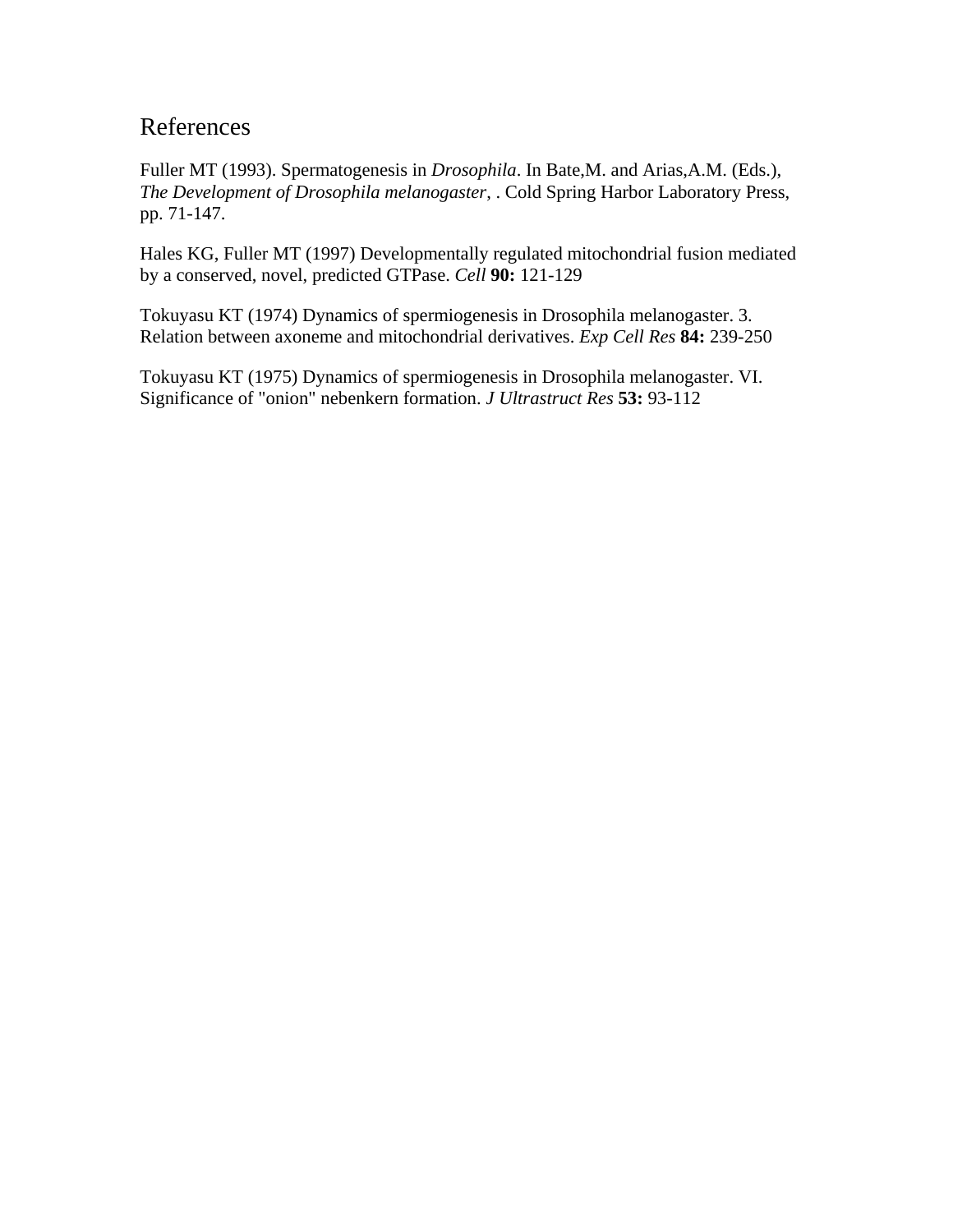# References

Fuller MT (1993). Spermatogenesis in *Drosophila*. In Bate,M. and Arias,A.M. (Eds.), *The Development of Drosophila melanogaster*, . Cold Spring Harbor Laboratory Press, pp. 71-147.

Hales KG, Fuller MT (1997) Developmentally regulated mitochondrial fusion mediated by a conserved, novel, predicted GTPase. *Cell* **90:** 121-129

Tokuyasu KT (1974) Dynamics of spermiogenesis in Drosophila melanogaster. 3. Relation between axoneme and mitochondrial derivatives. *Exp Cell Res* **84:** 239-250

Tokuyasu KT (1975) Dynamics of spermiogenesis in Drosophila melanogaster. VI. Significance of "onion" nebenkern formation. *J Ultrastruct Res* **53:** 93-112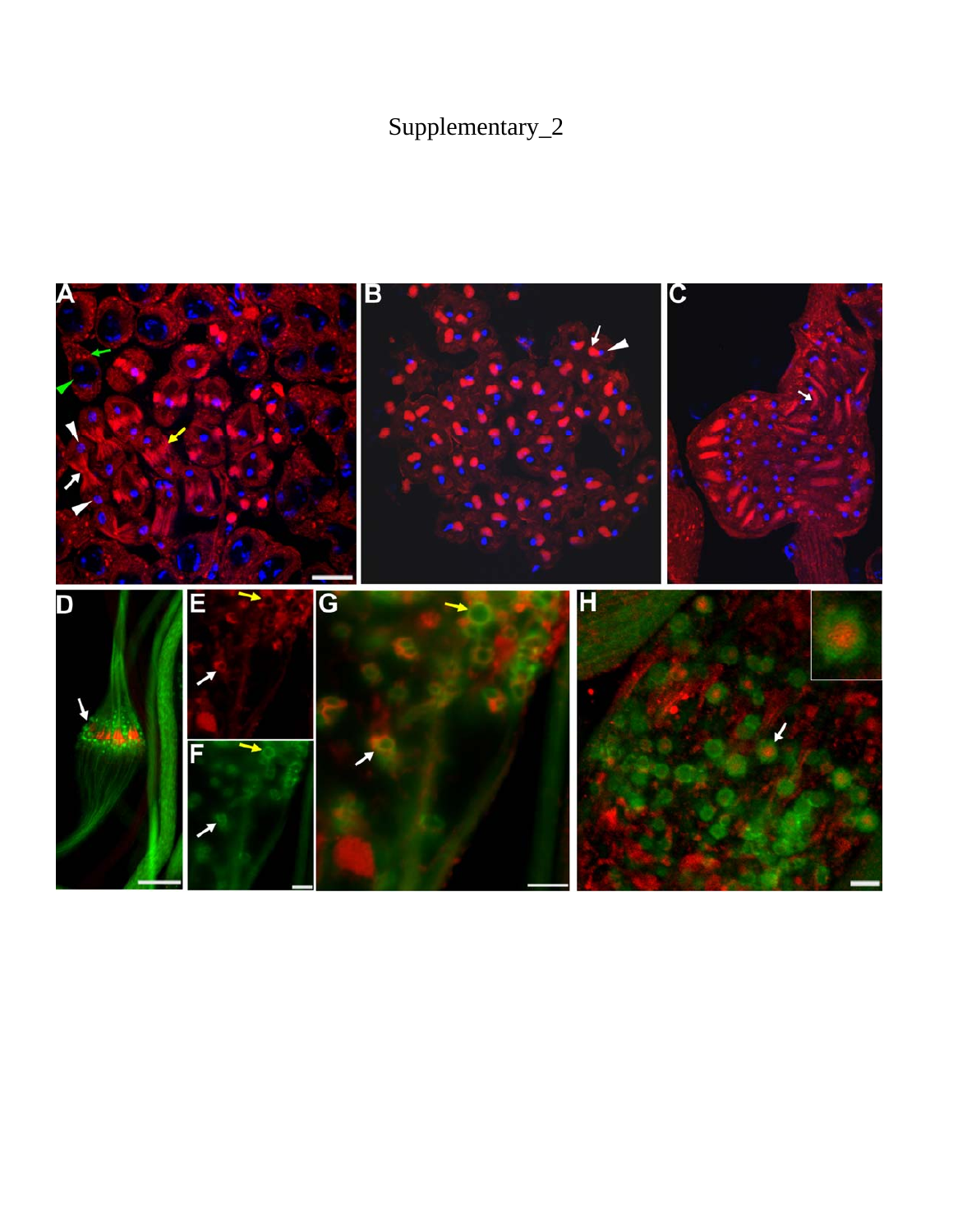# Supplementary\_2

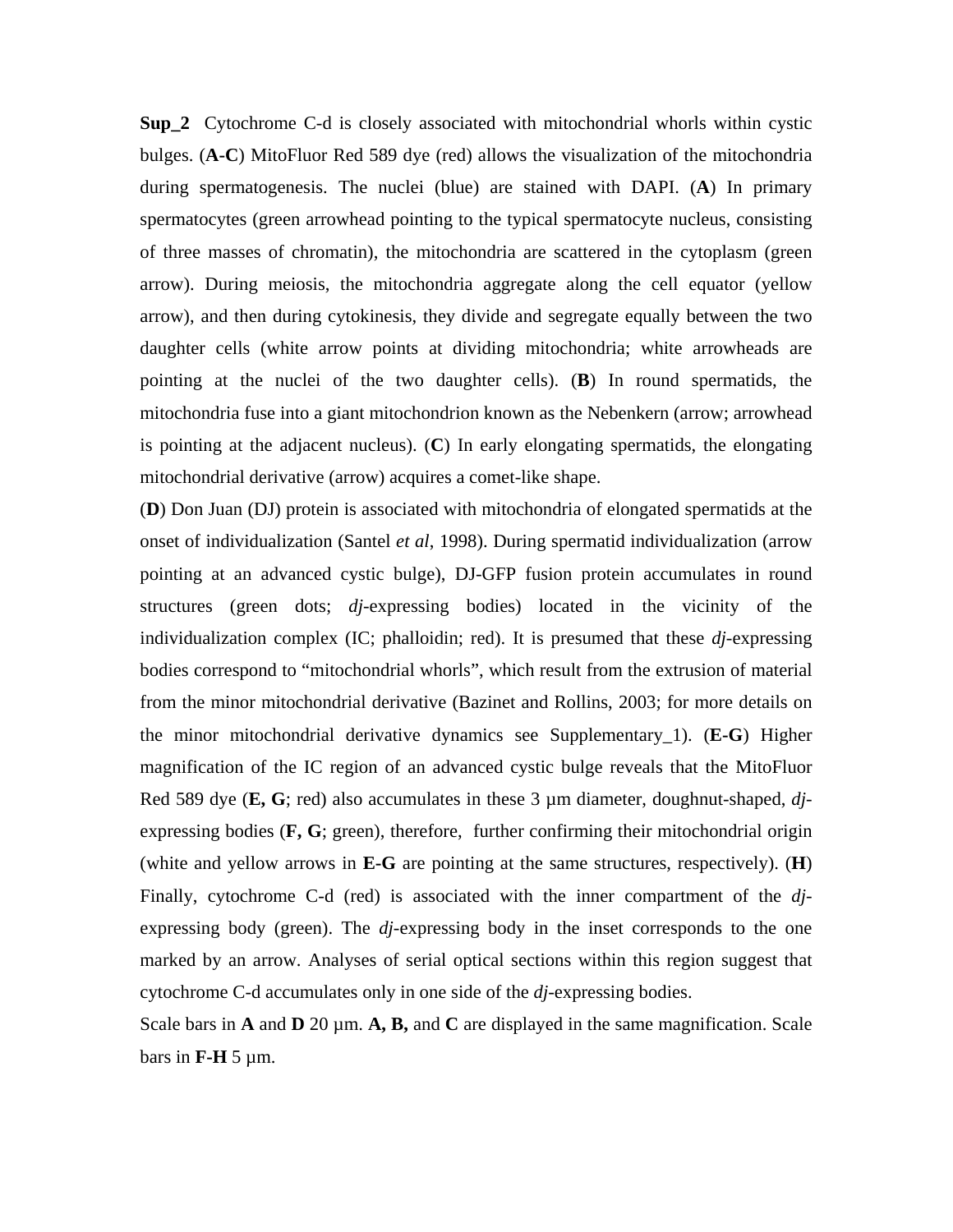**Sup\_2** Cytochrome C-d is closely associated with mitochondrial whorls within cystic bulges. (**A-C**) MitoFluor Red 589 dye (red) allows the visualization of the mitochondria during spermatogenesis. The nuclei (blue) are stained with DAPI. (**A**) In primary spermatocytes (green arrowhead pointing to the typical spermatocyte nucleus, consisting of three masses of chromatin), the mitochondria are scattered in the cytoplasm (green arrow). During meiosis, the mitochondria aggregate along the cell equator (yellow arrow), and then during cytokinesis, they divide and segregate equally between the two daughter cells (white arrow points at dividing mitochondria; white arrowheads are pointing at the nuclei of the two daughter cells). (**B**) In round spermatids, the mitochondria fuse into a giant mitochondrion known as the Nebenkern (arrow; arrowhead is pointing at the adjacent nucleus). (**C**) In early elongating spermatids, the elongating mitochondrial derivative (arrow) acquires a comet-like shape.

(**D**) Don Juan (DJ) protein is associated with mitochondria of elongated spermatids at the onset of individualization (Santel *et al*, 1998). During spermatid individualization (arrow pointing at an advanced cystic bulge), DJ-GFP fusion protein accumulates in round structures (green dots; *dj*-expressing bodies) located in the vicinity of the individualization complex (IC; phalloidin; red). It is presumed that these *dj*-expressing bodies correspond to "mitochondrial whorls", which result from the extrusion of material from the minor mitochondrial derivative (Bazinet and Rollins, 2003; for more details on the minor mitochondrial derivative dynamics see Supplementary\_1). (**E-G**) Higher magnification of the IC region of an advanced cystic bulge reveals that the MitoFluor Red 589 dye (**E, G**; red) also accumulates in these 3 µm diameter, doughnut-shaped, *dj*expressing bodies (**F, G**; green), therefore, further confirming their mitochondrial origin (white and yellow arrows in **E-G** are pointing at the same structures, respectively). (**H**) Finally, cytochrome C-d (red) is associated with the inner compartment of the *dj*expressing body (green). The *dj*-expressing body in the inset corresponds to the one marked by an arrow. Analyses of serial optical sections within this region suggest that cytochrome C-d accumulates only in one side of the *dj*-expressing bodies.

Scale bars in **A** and **D** 20  $\mu$ m. **A, B,** and **C** are displayed in the same magnification. Scale bars in  $\mathbf{F}\text{-}\mathbf{H}$  5  $\mu$ m.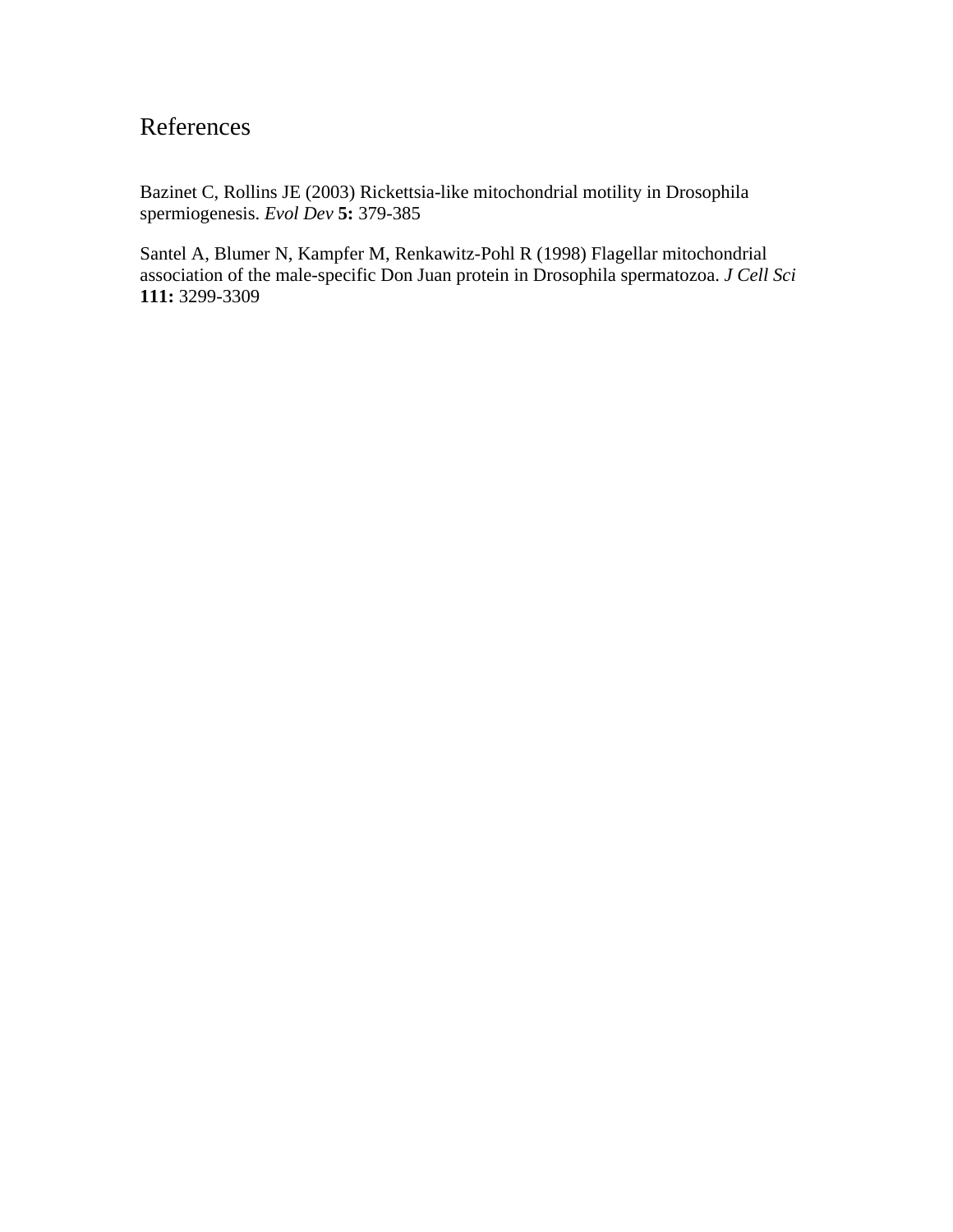# References

Bazinet C, Rollins JE (2003) Rickettsia-like mitochondrial motility in Drosophila spermiogenesis. *Evol Dev* **5:** 379-385

Santel A, Blumer N, Kampfer M, Renkawitz-Pohl R (1998) Flagellar mitochondrial association of the male-specific Don Juan protein in Drosophila spermatozoa. *J Cell Sci* **111:** 3299-3309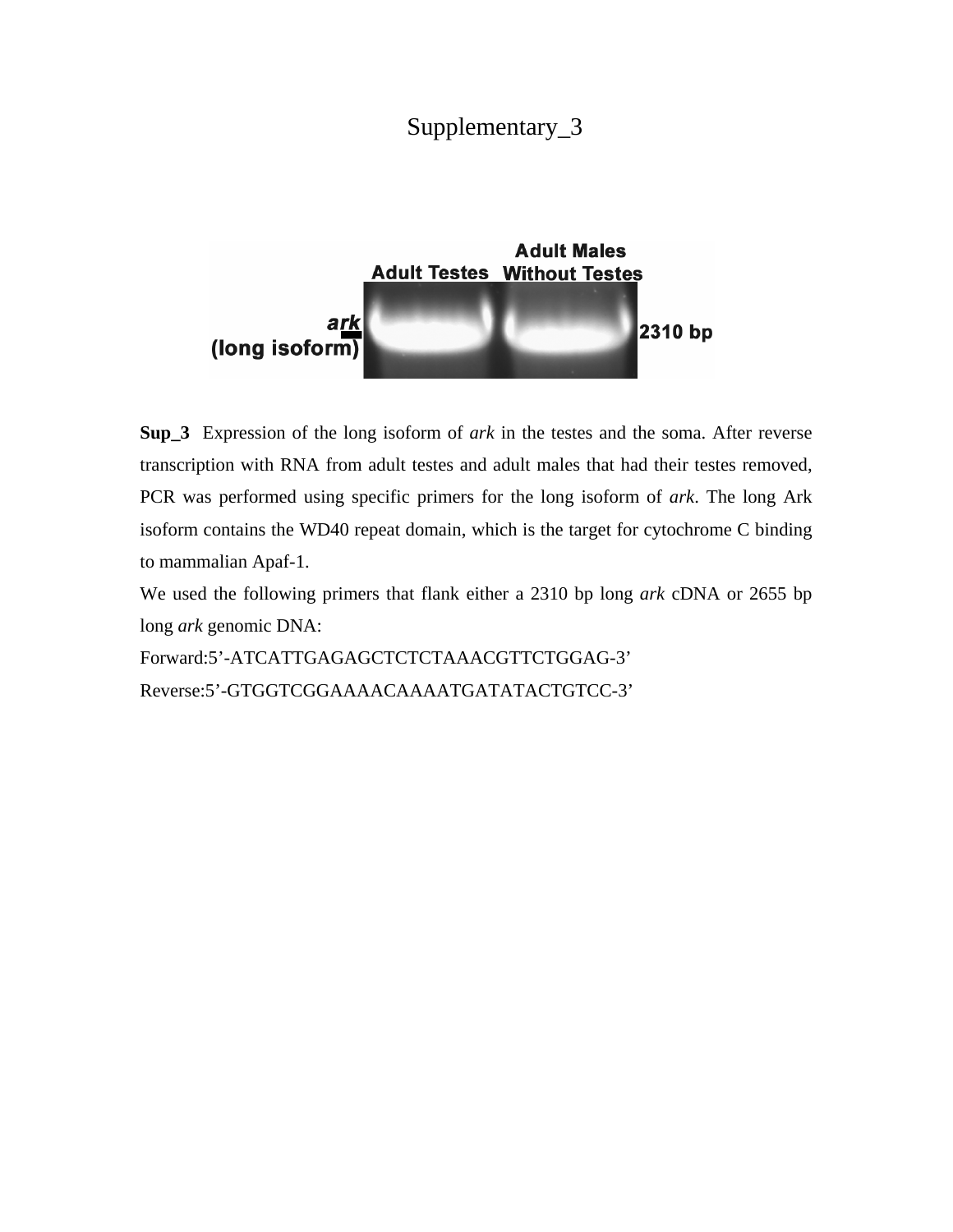# Supplementary\_3



**Sup\_3** Expression of the long isoform of *ark* in the testes and the soma. After reverse transcription with RNA from adult testes and adult males that had their testes removed, PCR was performed using specific primers for the long isoform of *ark*. The long Ark isoform contains the WD40 repeat domain, which is the target for cytochrome C binding to mammalian Apaf-1.

We used the following primers that flank either a 2310 bp long *ark* cDNA or 2655 bp long *ark* genomic DNA:

Forward:5'-ATCATTGAGAGCTCTCTAAACGTTCTGGAG-3' Reverse:5'-GTGGTCGGAAAACAAAATGATATACTGTCC-3'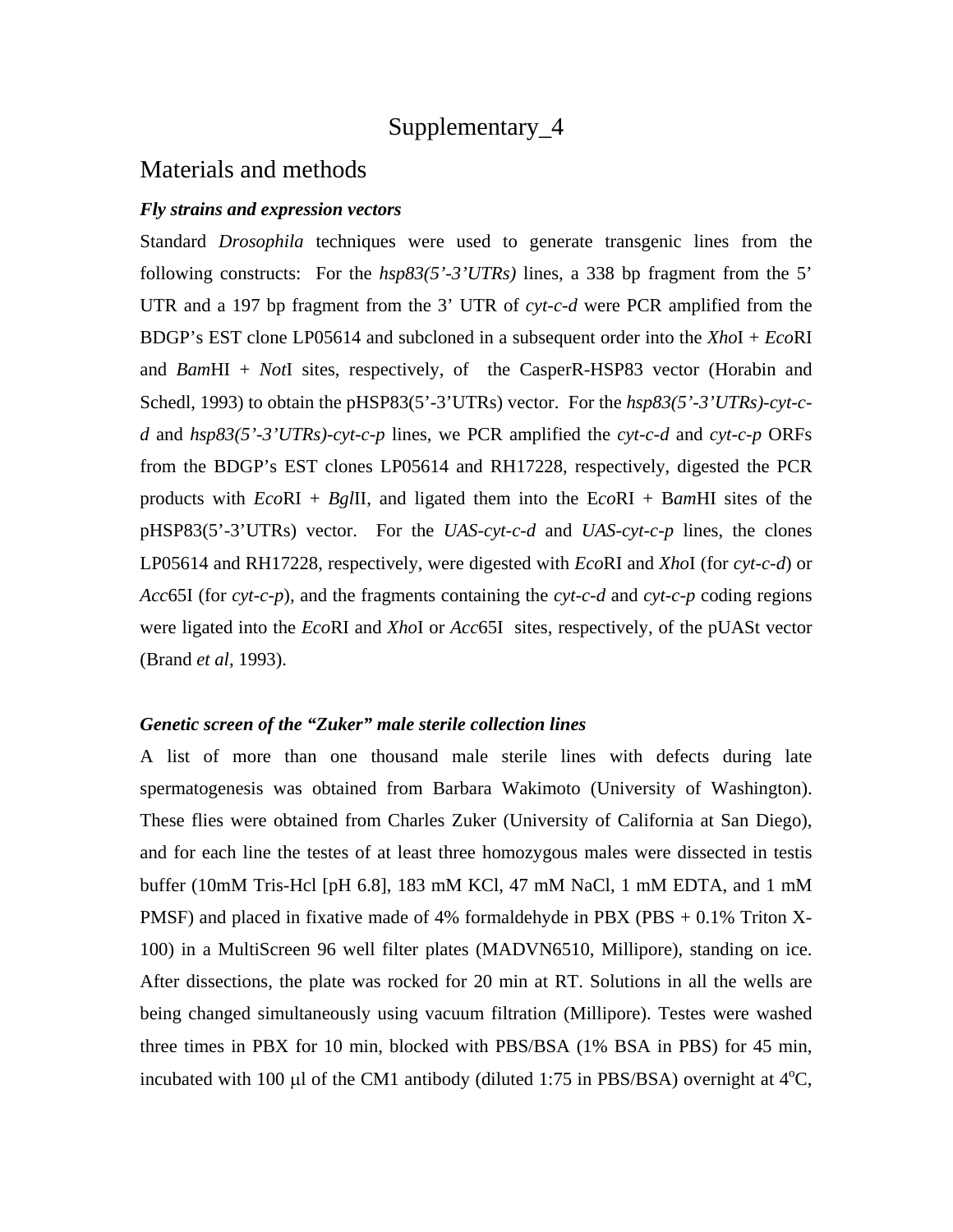# Supplementary\_4

# Materials and methods

# *Fly strains and expression vectors*

Standard *Drosophila* techniques were used to generate transgenic lines from the following constructs: For the *hsp83(5'-3'UTRs)* lines, a 338 bp fragment from the 5' UTR and a 197 bp fragment from the 3' UTR of *cyt-c-d* were PCR amplified from the BDGP's EST clone LP05614 and subcloned in a subsequent order into the *Xho*I + *Eco*RI and *Bam*HI + *Not*I sites, respectively, of the CasperR-HSP83 vector (Horabin and Schedl, 1993) to obtain the pHSP83(5'-3'UTRs) vector. For the *hsp83(5'-3'UTRs)-cyt-cd* and *hsp83(5'-3'UTRs)-cyt-c-p* lines, we PCR amplified the *cyt-c-d* and *cyt-c-p* ORFs from the BDGP's EST clones LP05614 and RH17228, respectively, digested the PCR products with *Eco*RI + *Bgl*II, and ligated them into the E*co*RI + B*am*HI sites of the pHSP83(5'-3'UTRs) vector. For the *UAS-cyt-c-d* and *UAS-cyt-c-p* lines, the clones LP05614 and RH17228, respectively, were digested with *Eco*RI and *Xho*I (for *cyt-c-d*) or *Acc*65I (for *cyt-c-p*), and the fragments containing the *cyt-c-d* and *cyt-c-p* coding regions were ligated into the *Eco*RI and *Xho*I or *Acc*65I sites, respectively, of the pUASt vector (Brand *et al*, 1993).

### *Genetic screen of the "Zuker" male sterile collection lines*

A list of more than one thousand male sterile lines with defects during late spermatogenesis was obtained from Barbara Wakimoto (University of Washington). These flies were obtained from Charles Zuker (University of California at San Diego), and for each line the testes of at least three homozygous males were dissected in testis buffer (10mM Tris-Hcl [pH 6.8], 183 mM KCl, 47 mM NaCl, 1 mM EDTA, and 1 mM PMSF) and placed in fixative made of 4% formaldehyde in PBX (PBS + 0.1% Triton X-100) in a MultiScreen 96 well filter plates (MADVN6510, Millipore), standing on ice. After dissections, the plate was rocked for 20 min at RT. Solutions in all the wells are being changed simultaneously using vacuum filtration (Millipore). Testes were washed three times in PBX for 10 min, blocked with PBS/BSA (1% BSA in PBS) for 45 min, incubated with 100  $\mu$ l of the CM1 antibody (diluted 1:75 in PBS/BSA) overnight at 4<sup>o</sup>C,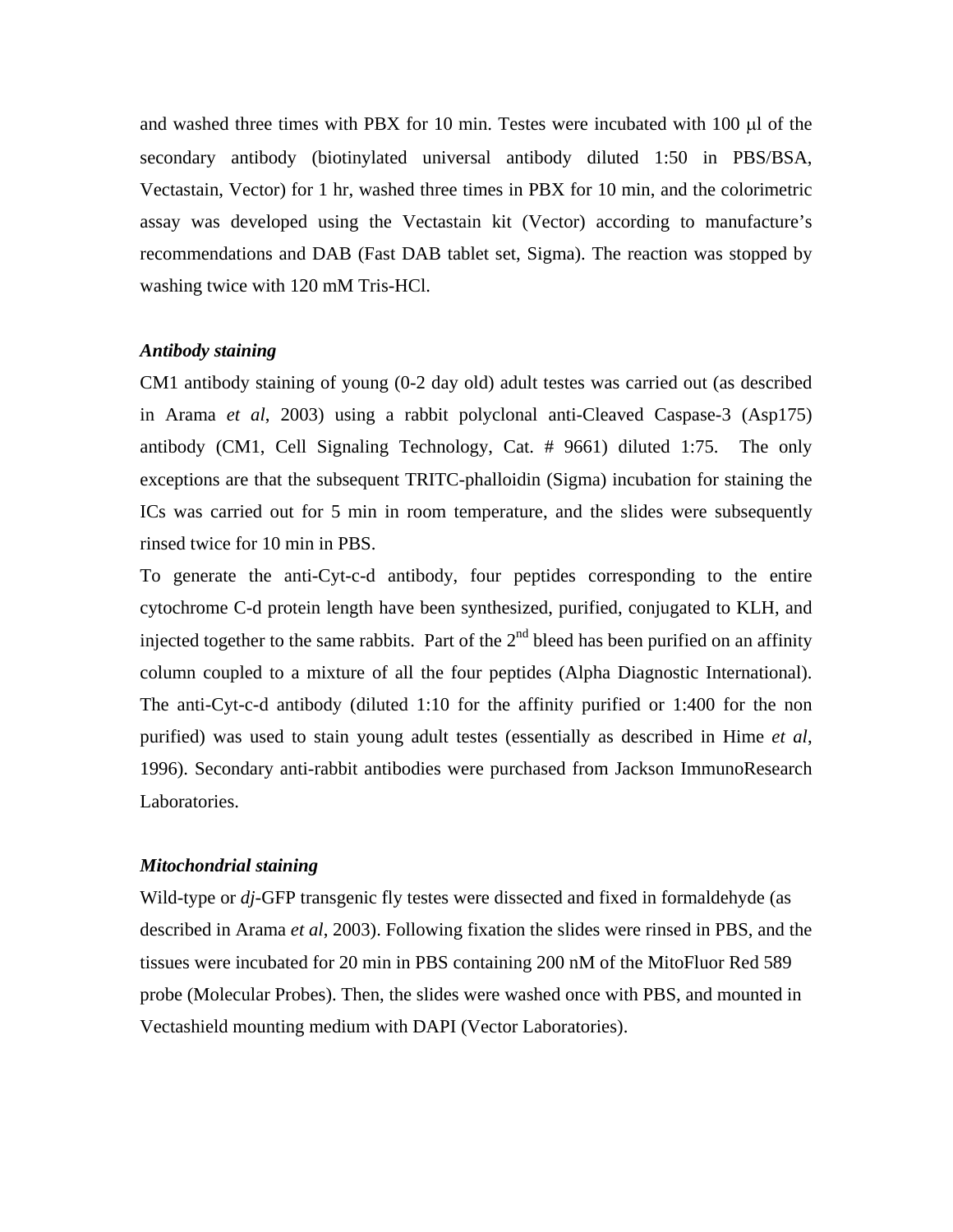and washed three times with PBX for 10 min. Testes were incubated with  $100 \mu$  of the secondary antibody (biotinylated universal antibody diluted 1:50 in PBS/BSA, Vectastain, Vector) for 1 hr, washed three times in PBX for 10 min, and the colorimetric assay was developed using the Vectastain kit (Vector) according to manufacture's recommendations and DAB (Fast DAB tablet set, Sigma). The reaction was stopped by washing twice with 120 mM Tris-HCl.

# *Antibody staining*

CM1 antibody staining of young (0-2 day old) adult testes was carried out (as described in Arama *et al*, 2003) using a rabbit polyclonal anti-Cleaved Caspase-3 (Asp175) antibody (CM1, Cell Signaling Technology, Cat. # 9661) diluted 1:75. The only exceptions are that the subsequent TRITC-phalloidin (Sigma) incubation for staining the ICs was carried out for 5 min in room temperature, and the slides were subsequently rinsed twice for 10 min in PBS.

To generate the anti-Cyt-c-d antibody, four peptides corresponding to the entire cytochrome C-d protein length have been synthesized, purified, conjugated to KLH, and injected together to the same rabbits. Part of the  $2<sup>nd</sup>$  bleed has been purified on an affinity column coupled to a mixture of all the four peptides (Alpha Diagnostic International). The anti-Cyt-c-d antibody (diluted 1:10 for the affinity purified or 1:400 for the non purified) was used to stain young adult testes (essentially as described in Hime *et al*, 1996). Secondary anti-rabbit antibodies were purchased from Jackson ImmunoResearch Laboratories.

### *Mitochondrial staining*

Wild-type or *dj-*GFP transgenic fly testes were dissected and fixed in formaldehyde (as described in Arama *et al*, 2003). Following fixation the slides were rinsed in PBS, and the tissues were incubated for 20 min in PBS containing 200 nM of the MitoFluor Red 589 probe (Molecular Probes). Then, the slides were washed once with PBS, and mounted in Vectashield mounting medium with DAPI (Vector Laboratories).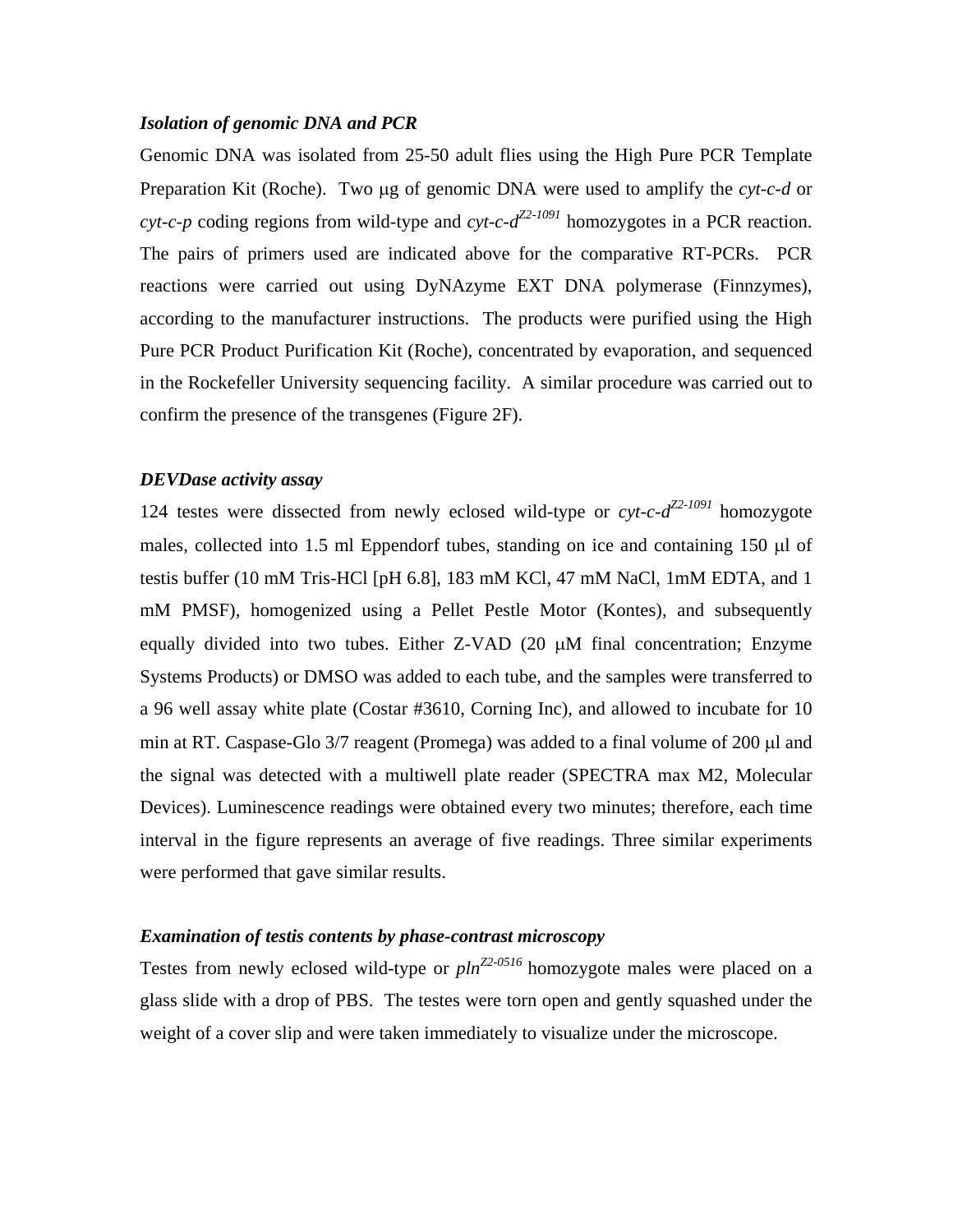# *Isolation of genomic DNA and PCR*

Genomic DNA was isolated from 25-50 adult flies using the High Pure PCR Template Preparation Kit (Roche). Two ug of genomic DNA were used to amplify the *cyt-c-d* or *cyt-c-p* coding regions from wild-type and *cyt-c-dZ2-1091* homozygotes in a PCR reaction. The pairs of primers used are indicated above for the comparative RT-PCRs. PCR reactions were carried out using DyNAzyme EXT DNA polymerase (Finnzymes), according to the manufacturer instructions. The products were purified using the High Pure PCR Product Purification Kit (Roche), concentrated by evaporation, and sequenced in the Rockefeller University sequencing facility. A similar procedure was carried out to confirm the presence of the transgenes (Figure 2F).

# *DEVDase activity assay*

124 testes were dissected from newly eclosed wild-type or *cyt-c-dZ2-1091* homozygote males, collected into 1.5 ml Eppendorf tubes, standing on ice and containing 150 µl of testis buffer (10 mM Tris-HCl [pH 6.8], 183 mM KCl, 47 mM NaCl, 1mM EDTA, and 1 mM PMSF), homogenized using a Pellet Pestle Motor (Kontes), and subsequently equally divided into two tubes. Either  $Z$ -VAD (20  $\mu$ M final concentration; Enzyme Systems Products) or DMSO was added to each tube, and the samples were transferred to a 96 well assay white plate (Costar #3610, Corning Inc), and allowed to incubate for 10 min at RT. Caspase-Glo 3/7 reagent (Promega) was added to a final volume of 200 µl and the signal was detected with a multiwell plate reader (SPECTRA max M2, Molecular Devices). Luminescence readings were obtained every two minutes; therefore, each time interval in the figure represents an average of five readings. Three similar experiments were performed that gave similar results.

### *Examination of testis contents by phase-contrast microscopy*

Testes from newly eclosed wild-type or  $\rho \ln Z^{2.0516}$  homozygote males were placed on a glass slide with a drop of PBS. The testes were torn open and gently squashed under the weight of a cover slip and were taken immediately to visualize under the microscope.